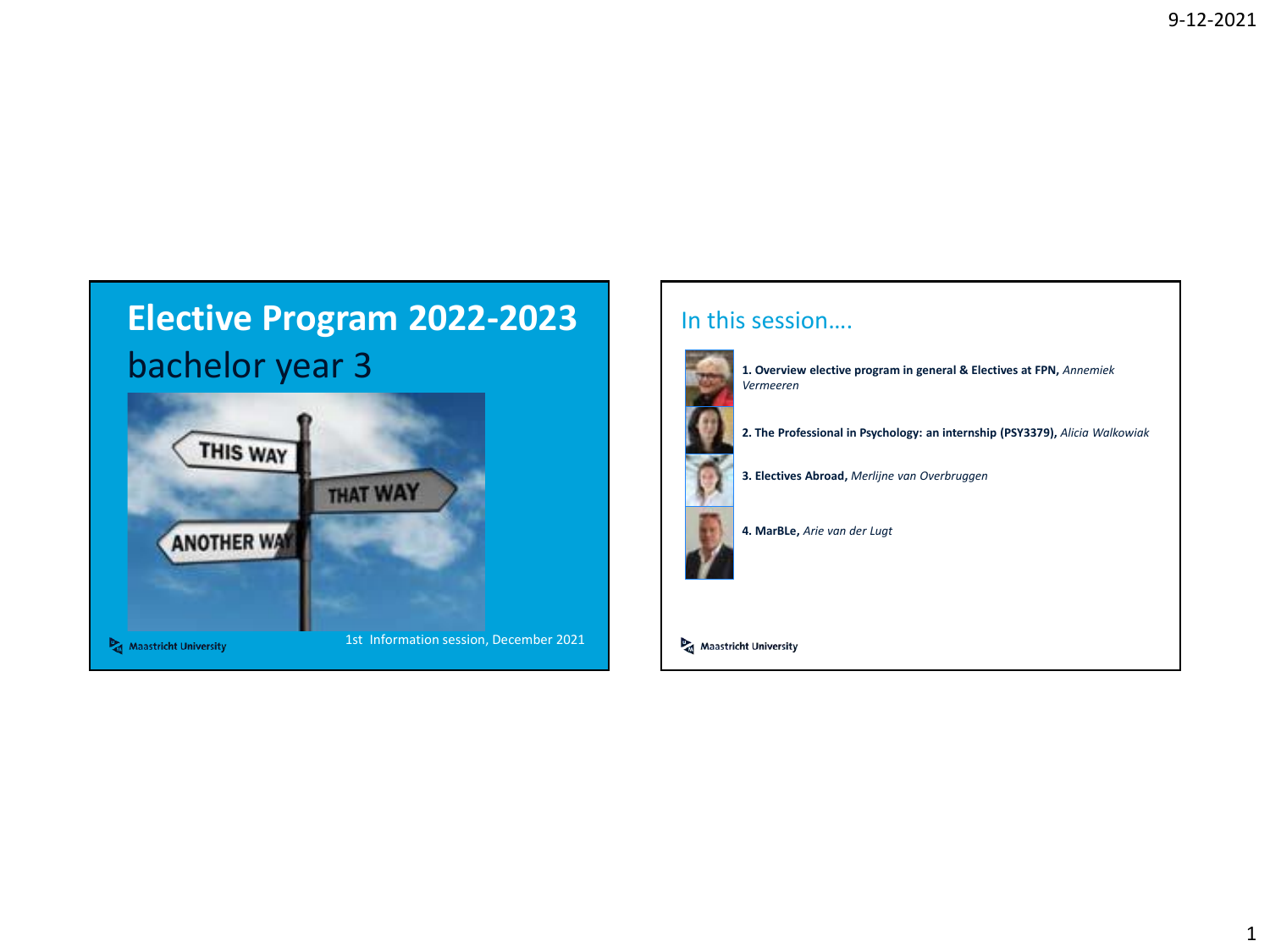

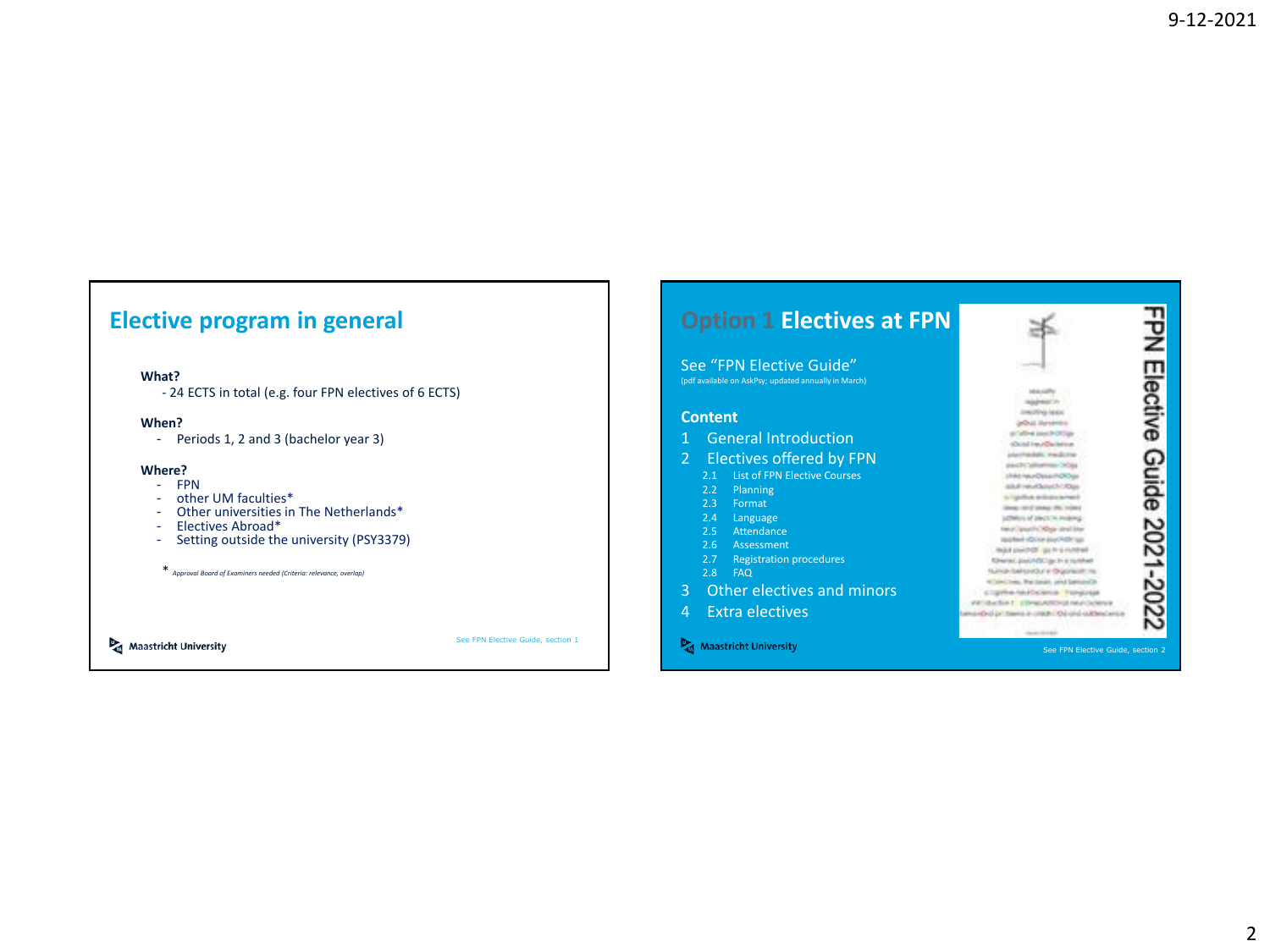#### **Elective program in general**

#### **What?**

- 24 ECTS in total (e.g. four FPN electives of 6 ECTS)

#### **When?**

- Periods 1, 2 and 3 (bachelor year 3)

#### **Where?**

- FPN<br>- othe
- other UM faculties\*
- Other universities in The Netherlands\*<br>- Flectives Abroad\*
- Electives Abroad\*
- Setting outside the university (PSY3379)
- \* *Approval Board of Examiners needed (Criteria: relevance, overlap)*

Maastricht University

See FPN Elective Guide, section 1

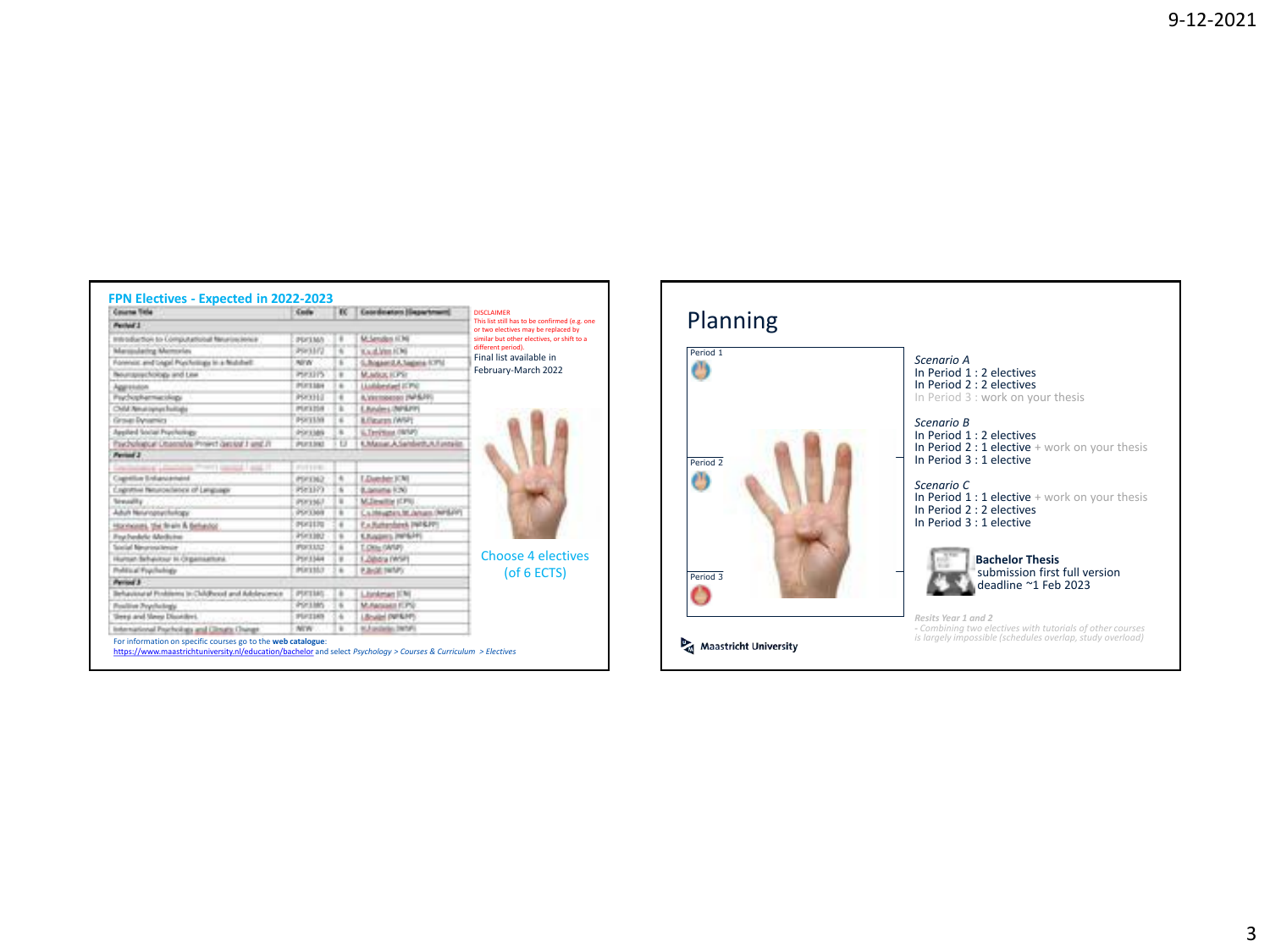| FPN Electives - Expected in 2022-2023  |                |              | <b>Concileators Hassets</b>  |                                                                    |          |
|----------------------------------------|----------------|--------------|------------------------------|--------------------------------------------------------------------|----------|
| Course Tele<br>Perhief 1               | <b>Sada</b>    | $_{\rm sc}$  |                              | <b>DISCLAIMER</b><br>This list still has to be confirmed (e.g. one | Plann    |
|                                        |                |              |                              | or two electives may be replaced by                                |          |
|                                        |                |              |                              |                                                                    |          |
| Solido Computational Neuroscience      | PECIMA         |              | <b>M. Sanadan (CM)</b>       | similar but other electives, or shift to a                         |          |
| similating Matterster.                 | <b>JSF3372</b> |              | Kaufalten (OS)               | different period).                                                 | Period 1 |
| and Legal PostAntique in a Middlefield | <b>MIW</b>     |              | G. Bogaer J.A. Sagaria 5,770 | Final list available in                                            |          |
| rechinings and Line                    | PSP331%        | $\mathbf{r}$ | MUMULK FOR                   | February-March 2022                                                |          |
|                                        | POTTAN         |              | Liablested ICPS              |                                                                    |          |
|                                        | PROFILE        |              | A/Vermousses (NHA)           |                                                                    |          |

| Forensic and Logic Purchasings in a Nichthell       | NFW-           | ٠                     | G. Rogannit A. Sagaria (CPM)         |
|-----------------------------------------------------|----------------|-----------------------|--------------------------------------|
| <b>Bourgeachoogy and Line</b>                       | PSF1315        | ×                     | MUMULION:                            |
| <b>Aggression</b>                                   | POTIAN         | I a                   | <b>Linkleyied ICPN</b>               |
| Psychophermacology                                  | PRODU          | п                     | A.Vittimoense (NFSJ9)                |
| Child Amatophys huitage                             | PUCKERS        | т                     | E.Baulers.(NP&PP)                    |
| Grove: Dynamics                                     | PSF15NH        | ×                     | <b>Milesonn (WM)</b>                 |
| Applied Social Psychology                           | POFFIAN        | s                     | L.Terimas (WM)                       |
| Paychological Uttanrable Priniert Gestald J and JT  | PUESSNS        | <b>t</b> <sub>3</sub> | 6. Massac A. Seinbirth, A. Funnyiko. |
| Period 3                                            |                |                       |                                      |
| Conclusioning Charteries Printed Land 21            | FUEL IN        |                       |                                      |
| Capithe Infancened                                  | PRODUCT        | ÷                     | LDatchin [OM]                        |
| Enginesia Neurosilatesi of Language                 | P583373        | n.                    | 8. lanung 1:30                       |
| Sensative .                                         | <b>POFEMAT</b> | ×                     | <b>M.Dealtie (CPI)</b>               |
| Adult Neturoptwittelogy                             | PS/3369        |                       | Caldwell LM Januar (NH2PF)           |
| Honivores, the firein & Belluston.                  | POSITI         | ٠                     | P. A. Huthandson, 1985 & PP!         |
| Fox hedele Medicine                                 | <b>PSF1982</b> |                       | <b>CANSING PIPERS</b>                |
| Social Neuroscience                                 | <b>POILES</b>  |                       | LONG (WAF)                           |
| Human Scheinur III Organisationi.                   | PSF LSAH       |                       | 1. Dibdra (WSP)                      |
| Political Foculations                               | PERTHIT        |                       | <b>P. Bridt (WMV)</b>                |
| Period 3                                            |                |                       |                                      |
| Behavioural Pontiferry In Childhood and Adolescence | PUCING.        | i is                  | Listener (CN)                        |
| Feeling Psychology                                  | <b>POFTIMS</b> | 16                    | M.Asquadd F.PO.                      |
| <b>Uregi and Meny Disorders</b> .                   | PUCINS         | ×                     | Libraried (NFR/PF)                   |
| International Psychology and Clinata Change         | NOV.           | $\mathbf{r}$          | <b>K.Fasteler, 24141</b>             |

<https://www.maastrichtuniversity.nl/education/bachelor> and select *Psychology > Courses & Curriculum > Electives*

Choose 4 electives (of 6 ECTS)

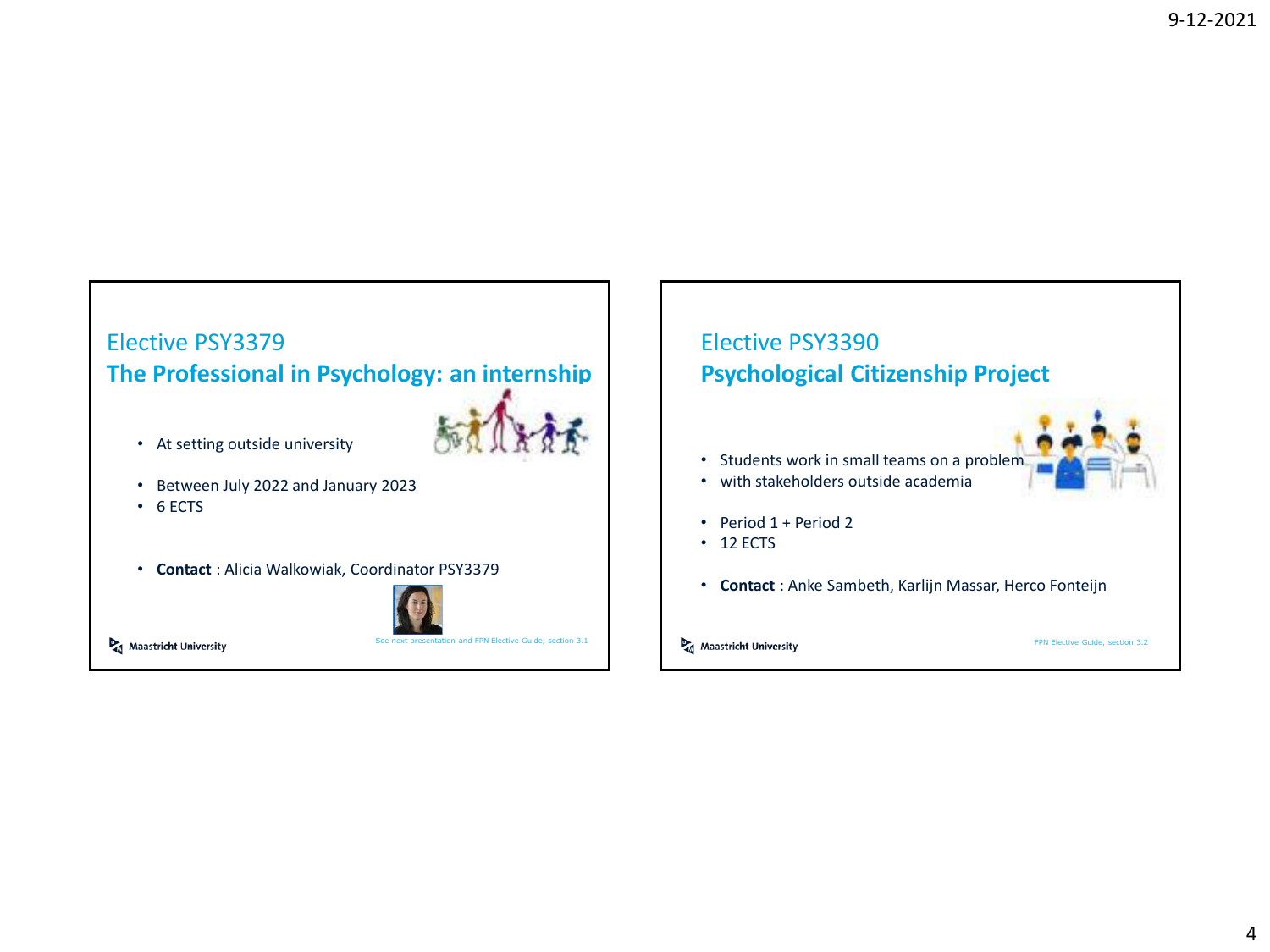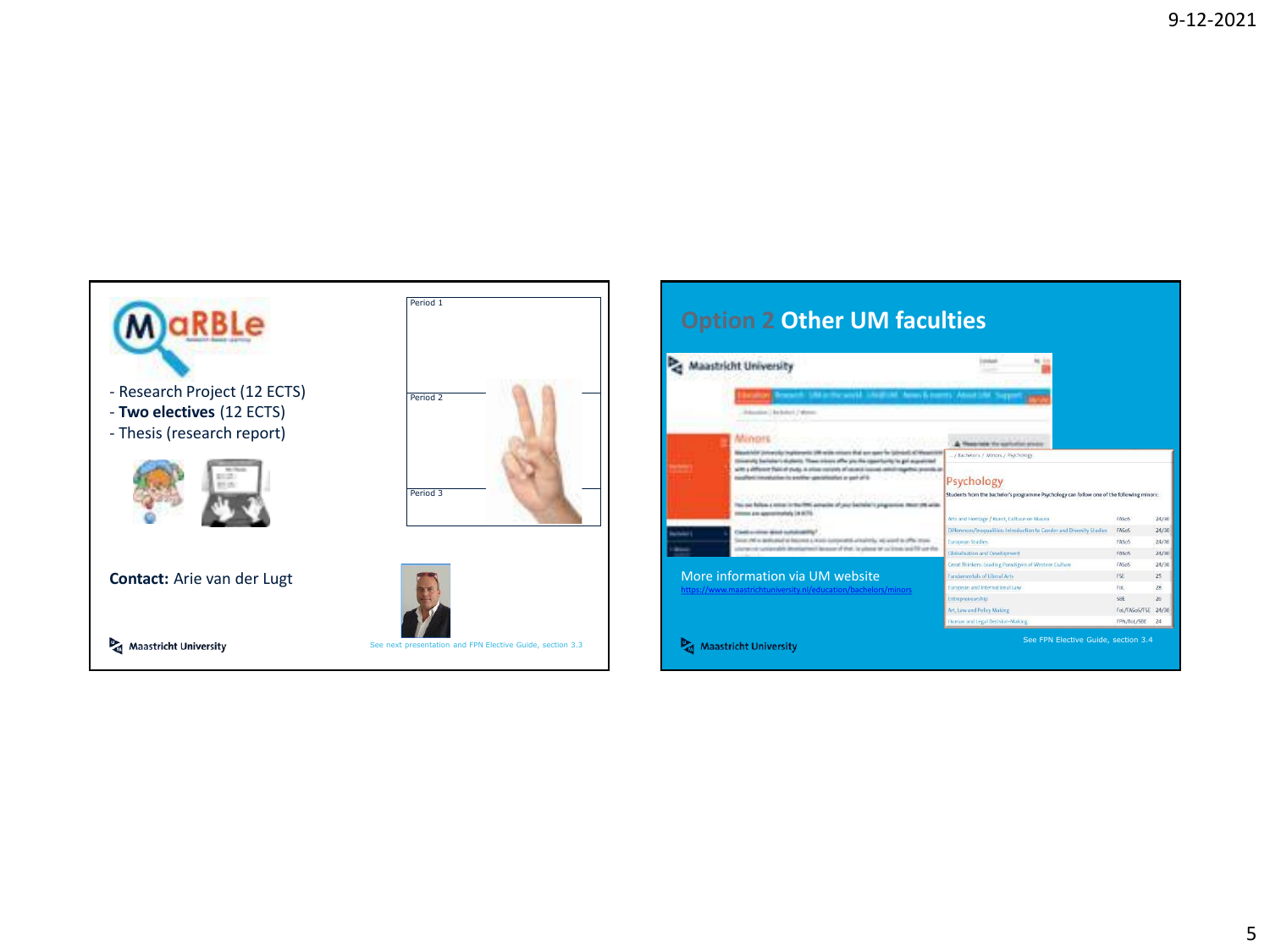

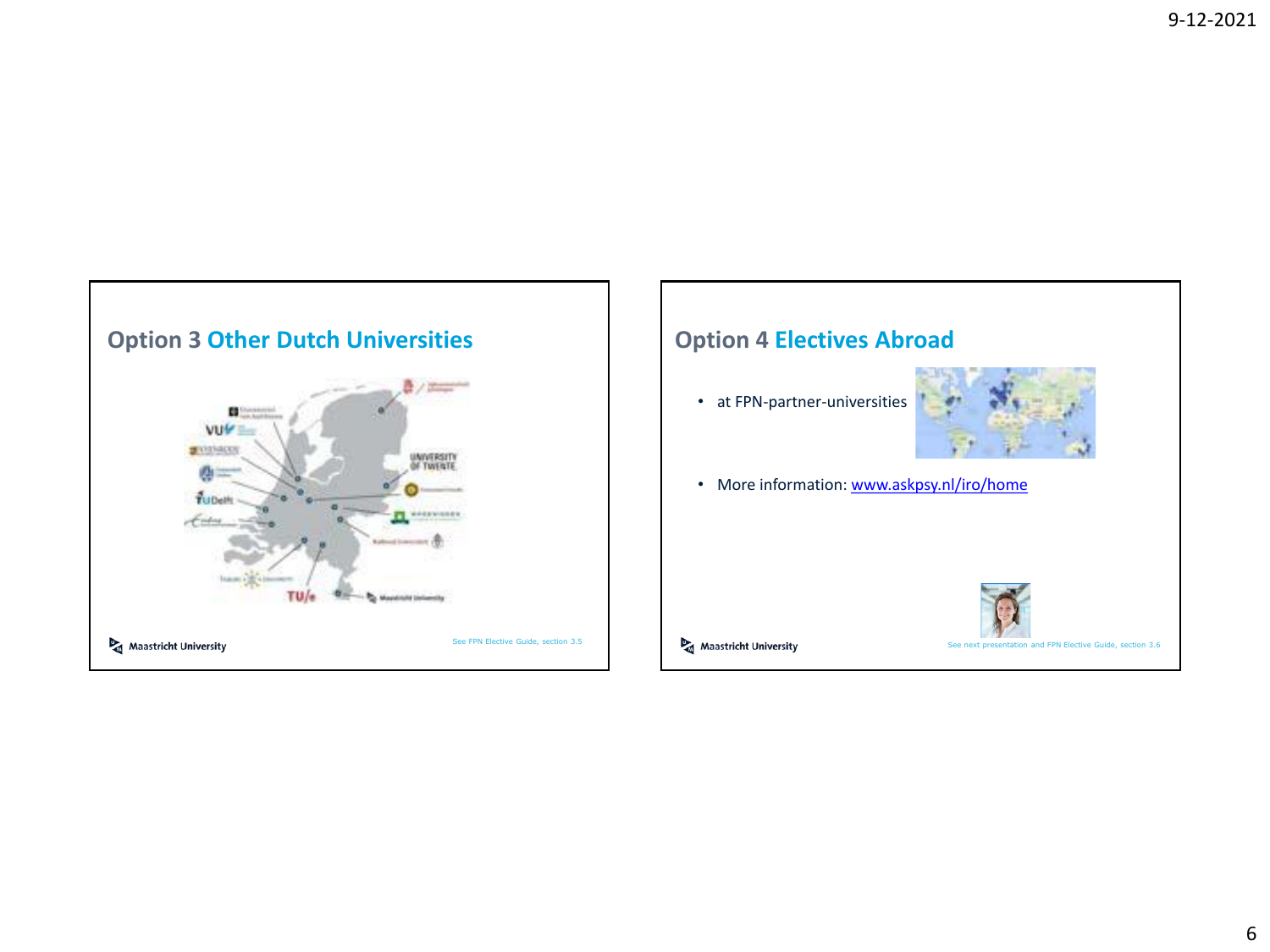

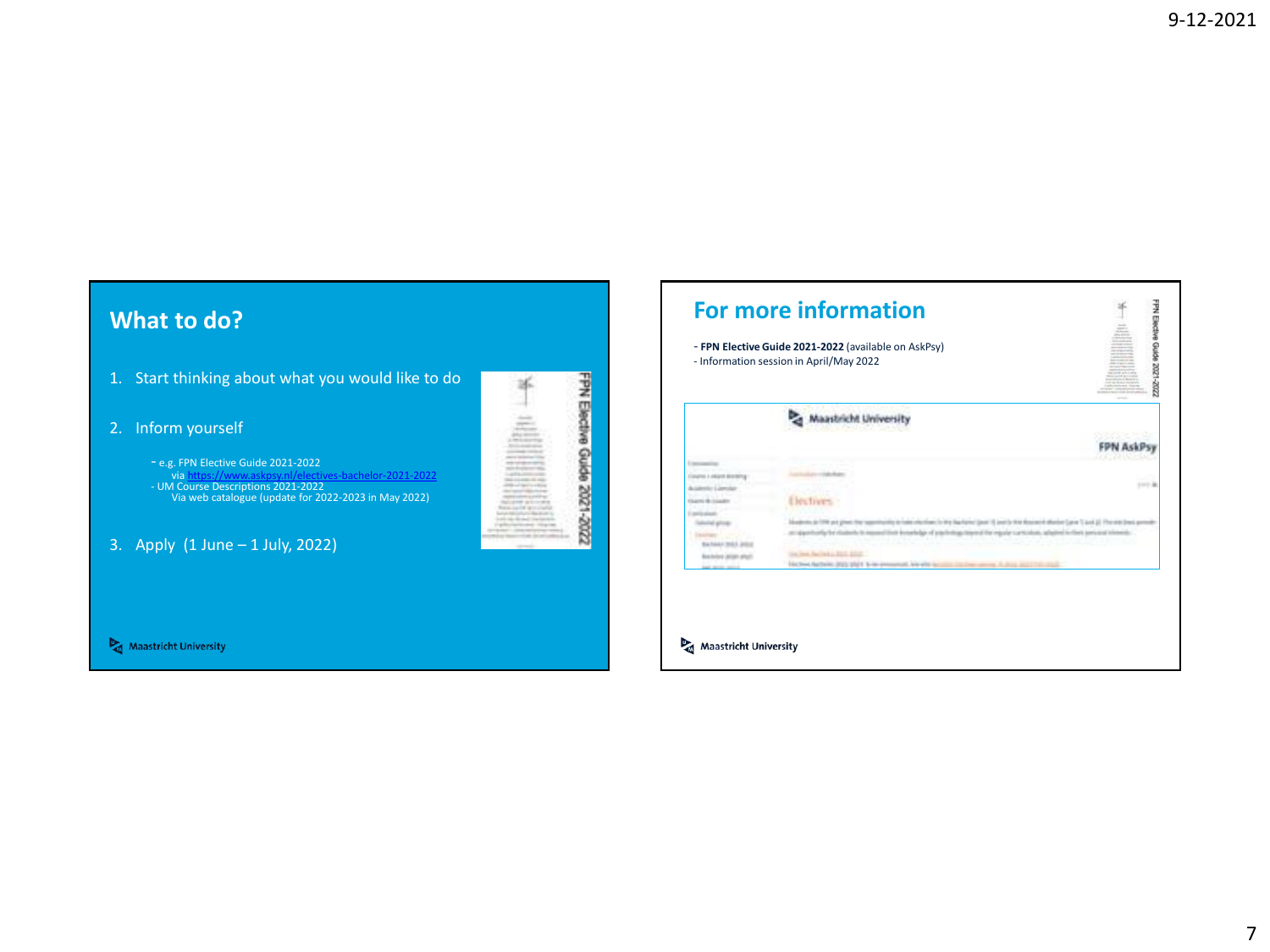#### **What to do?**

- 1. Start thinking about what you would like to do
- 2. Inform yourself
	- e.g. FPN Elective Guide 2021-2022 via<https://www.askpsy.nl/electives-bachelor-2021-2022> - UM Course Descriptions 2021-2022 Via web catalogue (update for 2022-2023 in May 2022)

FPN Elective Guide 2021-2022

氺

3. Apply (1 June – 1 July, 2022)



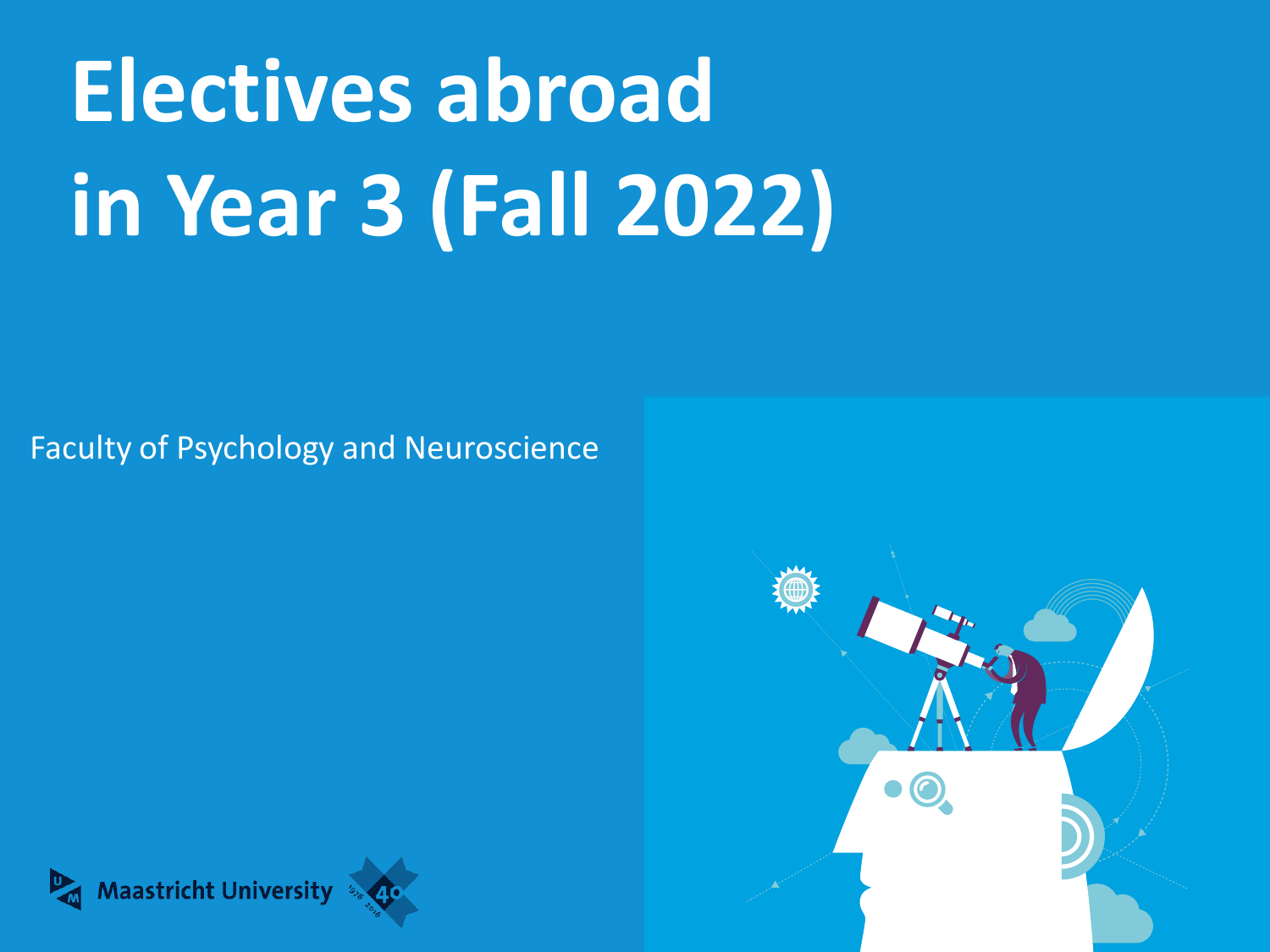# **Electives abroad in Year 3 (Fall 2022)**

Faculty of Psychology and Neuroscience



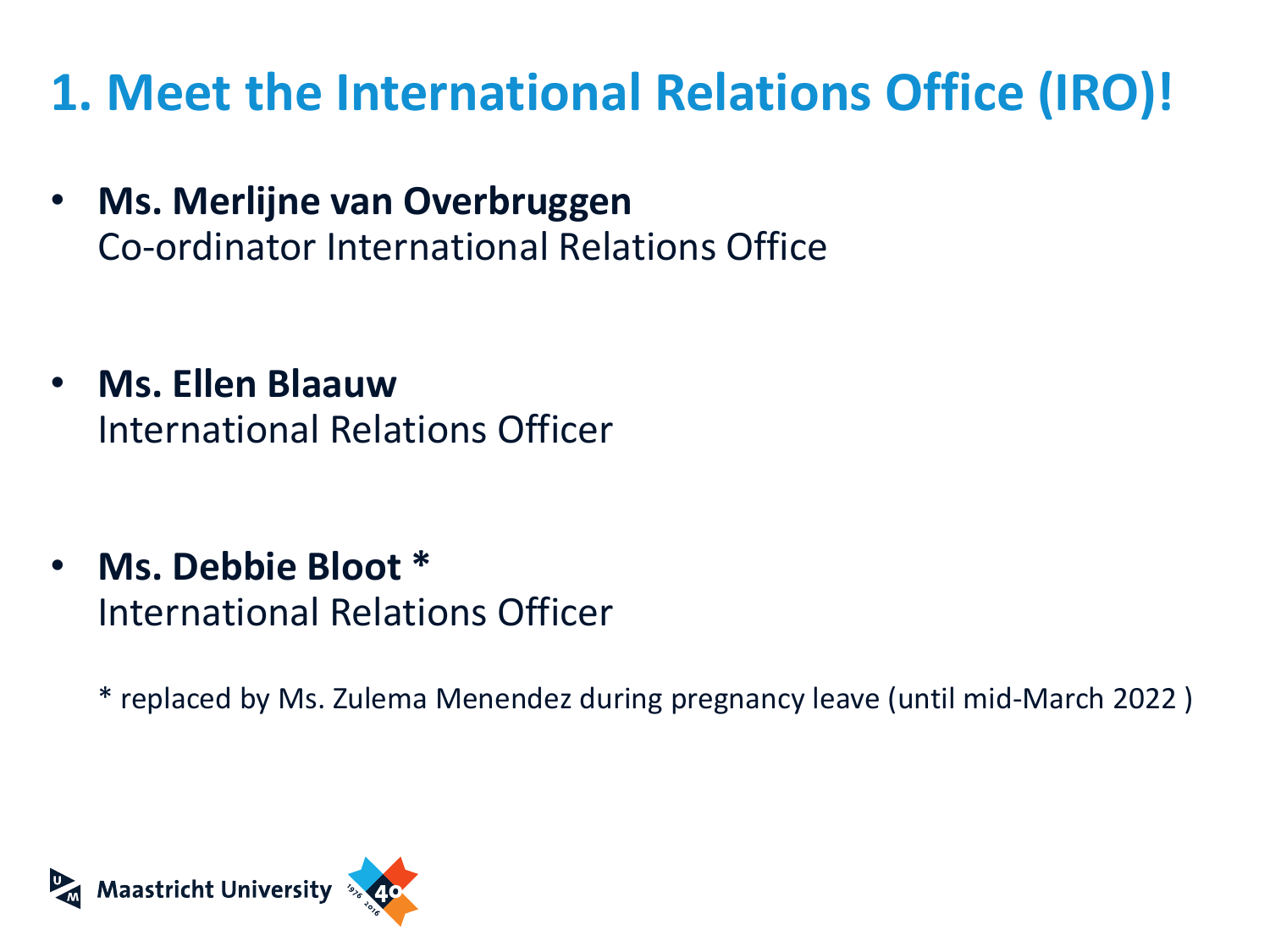### **1. Meet the International Relations Office (IRO)!**

- **Ms. Merlijne van Overbruggen**  Co-ordinator International Relations Office
- **Ms. Ellen Blaauw** International Relations Officer
- **Ms. Debbie Bloot \*** International Relations Officer
	- \* replaced by Ms. Zulema Menendez during pregnancy leave (until mid-March 2022 )

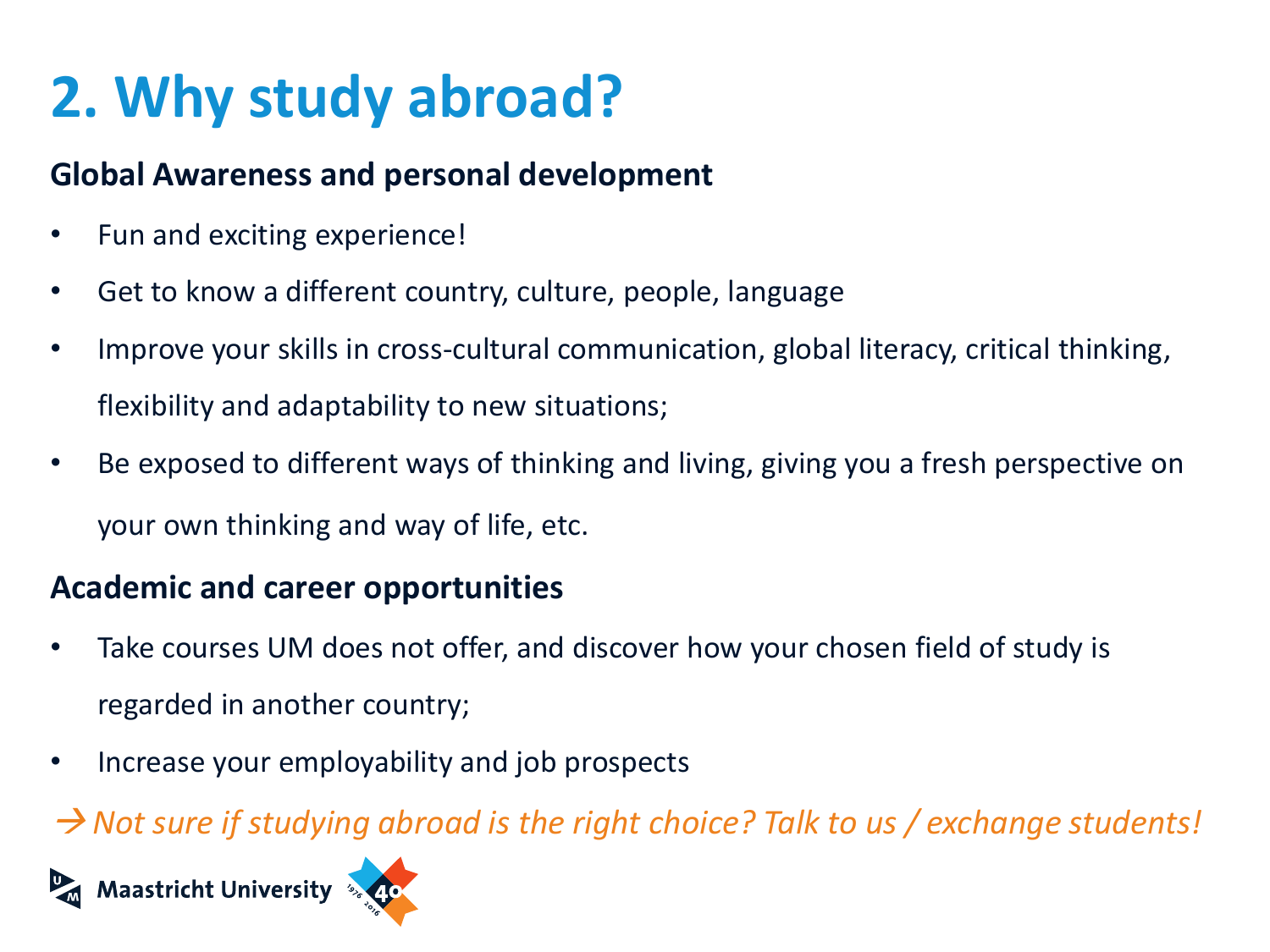# **2. Why study abroad?**

#### **Global Awareness and personal development**

- Fun and exciting experience!
- Get to know a different country, culture, people, language
- Improve your skills in cross-cultural communication, global literacy, critical thinking, flexibility and adaptability to new situations;
- Be exposed to different ways of thinking and living, giving you a fresh perspective on your own thinking and way of life, etc.

#### **Academic and career opportunities**

- Take courses UM does not offer, and discover how your chosen field of study is regarded in another country;
- Increase your employability and job prospects

*Not sure if studying abroad is the right choice? Talk to us / exchange students!*

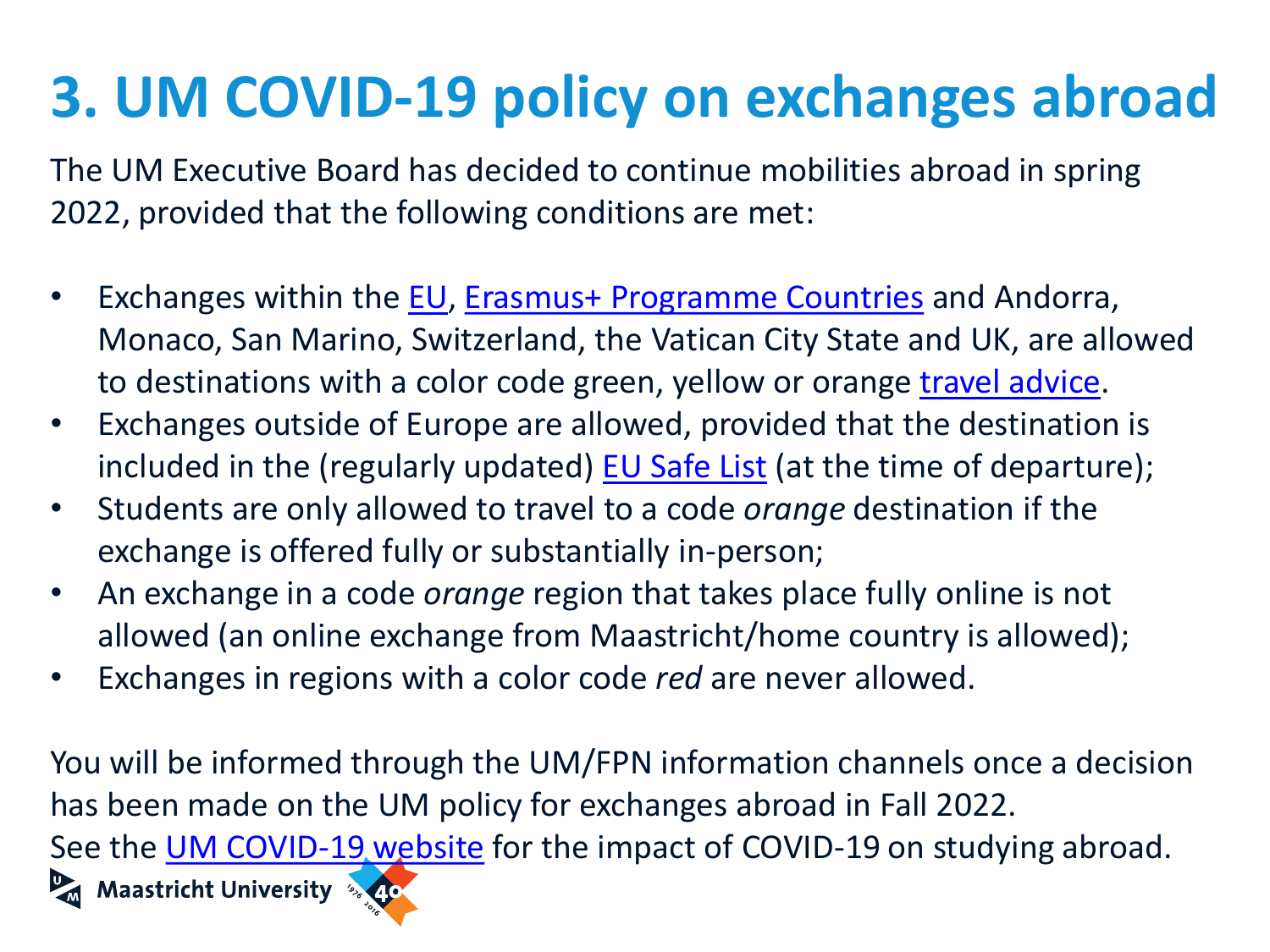# **3. UM COVID-19 policy on exchanges abroad**

The UM Executive Board has decided to continue mobilities abroad in spring 2022, provided that the following conditions are met:

- Exchanges within the [EU,](https://europa.eu/european-union/about-eu/countries_en) [Erasmus+ Programme](https://ec.europa.eu/programmes/erasmus-plus/about/who-can-take-part_en) Countries and Andorra, Monaco, San Marino, Switzerland, the Vatican City State and UK, are allowed to destinations with a color code green, yellow or orange [travel advice](https://www.nederlandwereldwijd.nl/reizen/reisadviezen).
- Exchanges outside of Europe are allowed, provided that the destination is included in the (regularly updated) **[EU Safe List](https://ec.europa.eu/info/live-work-travel-eu/coronavirus-response/travel-during-coronavirus-pandemic_en)** (at the time of departure);
- Students are only allowed to travel to a code *orange* destination if the exchange is offered fully or substantially in-person;
- An exchange in a code *orange* region that takes place fully online is not allowed (an online exchange from Maastricht/home country is allowed);
- Exchanges in regions with a color code *red* are never allowed.

You will be informed through the UM/FPN information channels once a decision has been made on the UM policy for exchanges abroad in Fall 2022. See the [UM COVID-19 website](https://www.maastrichtuniversity.nl/students-0) for the impact of COVID-19 on studying abroad.**D** Maastricht University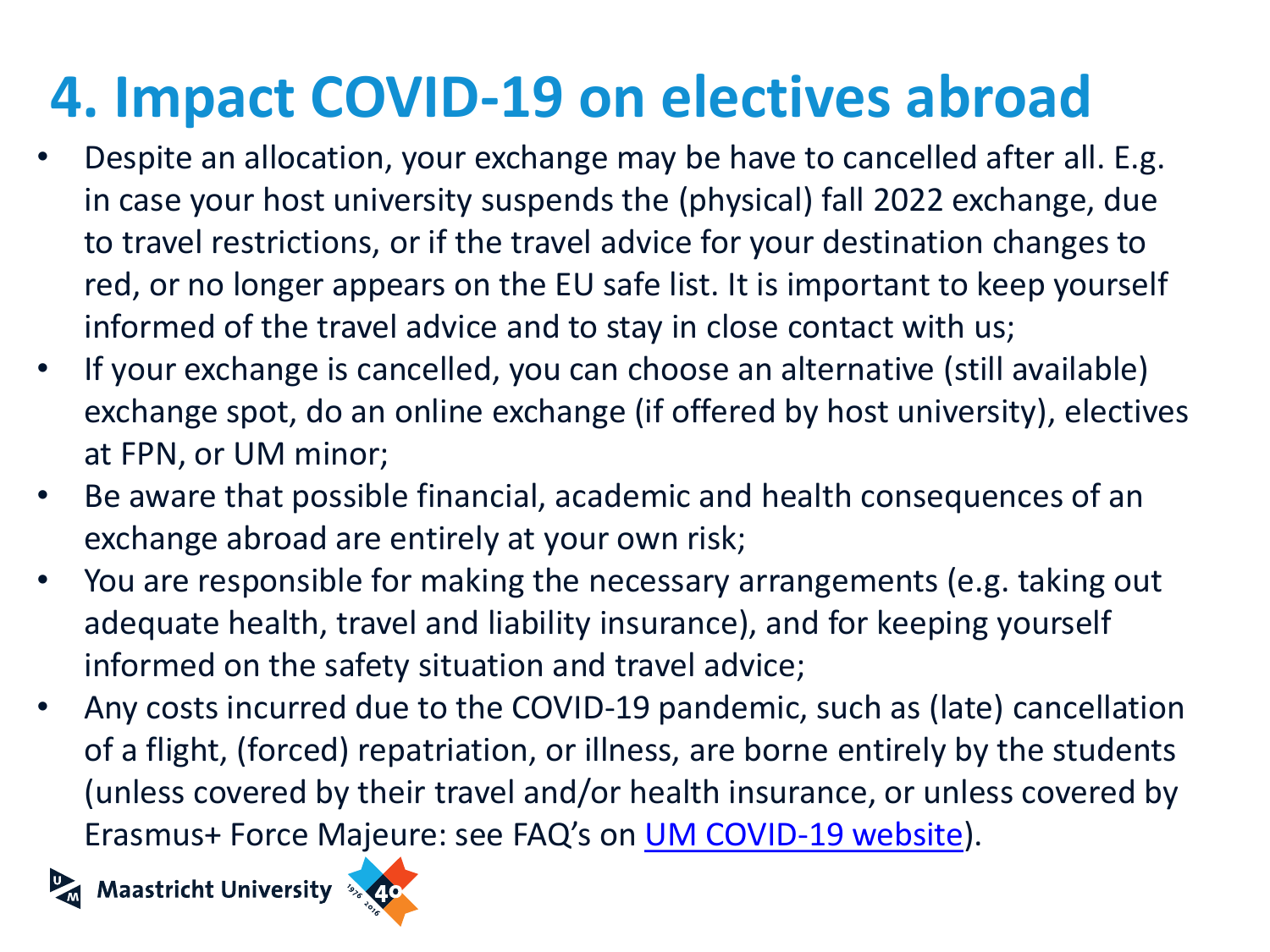## **4. Impact COVID-19 on electives abroad**

- Despite an allocation, your exchange may be have to cancelled after all. E.g. in case your host university suspends the (physical) fall 2022 exchange, due to travel restrictions, or if the travel advice for your destination changes to red, or no longer appears on the EU safe list. It is important to keep yourself informed of the travel advice and to stay in close contact with us;
- If your exchange is cancelled, you can choose an alternative (still available) exchange spot, do an online exchange (if offered by host university), electives at FPN, or UM minor;
- Be aware that possible financial, academic and health consequences of an exchange abroad are entirely at your own risk;
- You are responsible for making the necessary arrangements (e.g. taking out adequate health, travel and liability insurance), and for keeping yourself informed on the safety situation and travel advice;
- Any costs incurred due to the COVID-19 pandemic, such as (late) cancellation of a flight, (forced) repatriation, or illness, are borne entirely by the students (unless covered by their travel and/or health insurance, or unless covered by Erasmus+ Force Majeure: see FAQ's on [UM COVID-19 website](https://www.maastrichtuniversity.nl/students-0)).



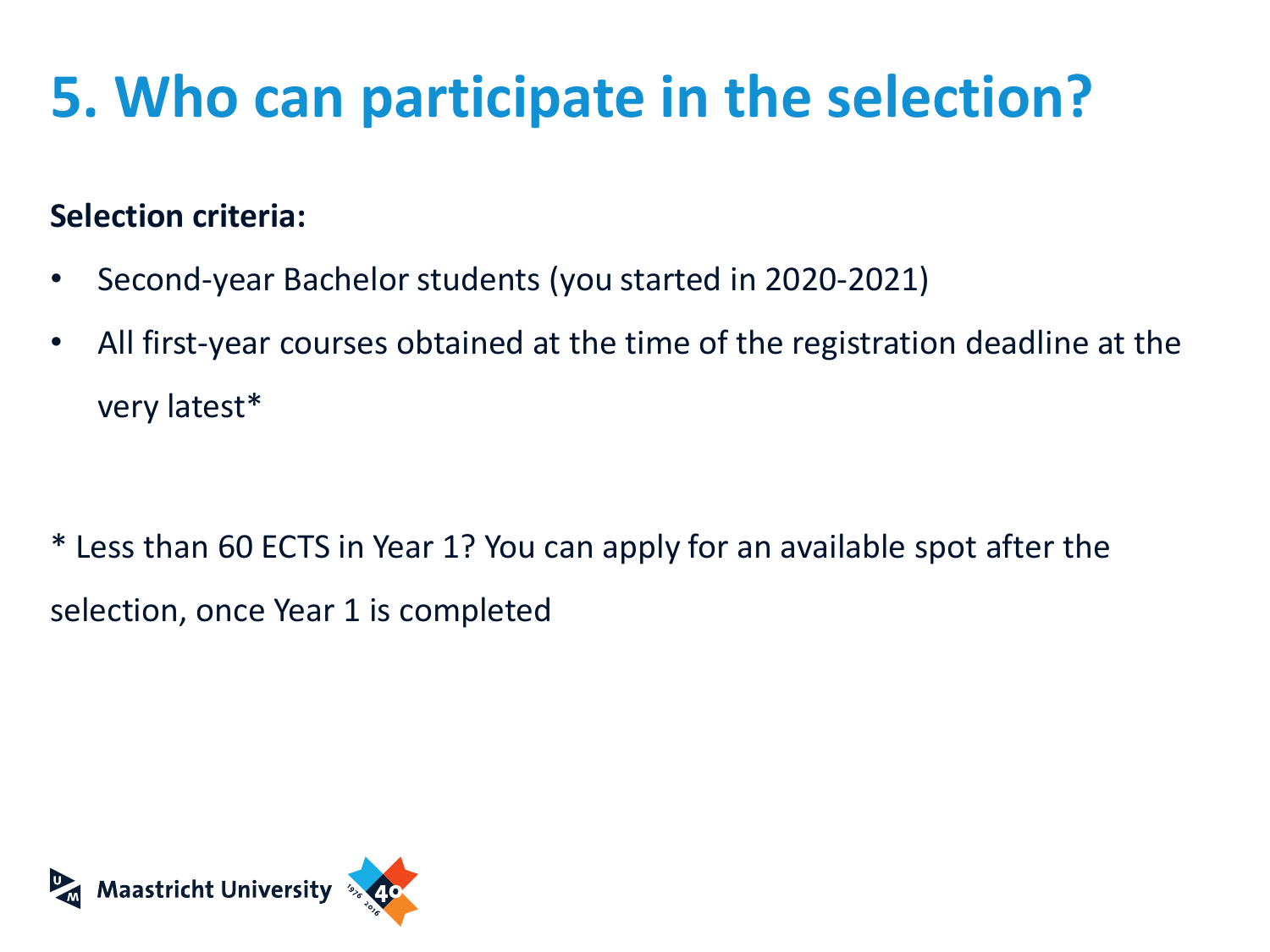# **5. Who can participate in the selection?**

#### **Selection criteria:**

- Second-year Bachelor students (you started in 2020-2021)
- All first-year courses obtained at the time of the registration deadline at the very latest\*

\* Less than 60 ECTS in Year 1? You can apply for an available spot after the selection, once Year 1 is completed

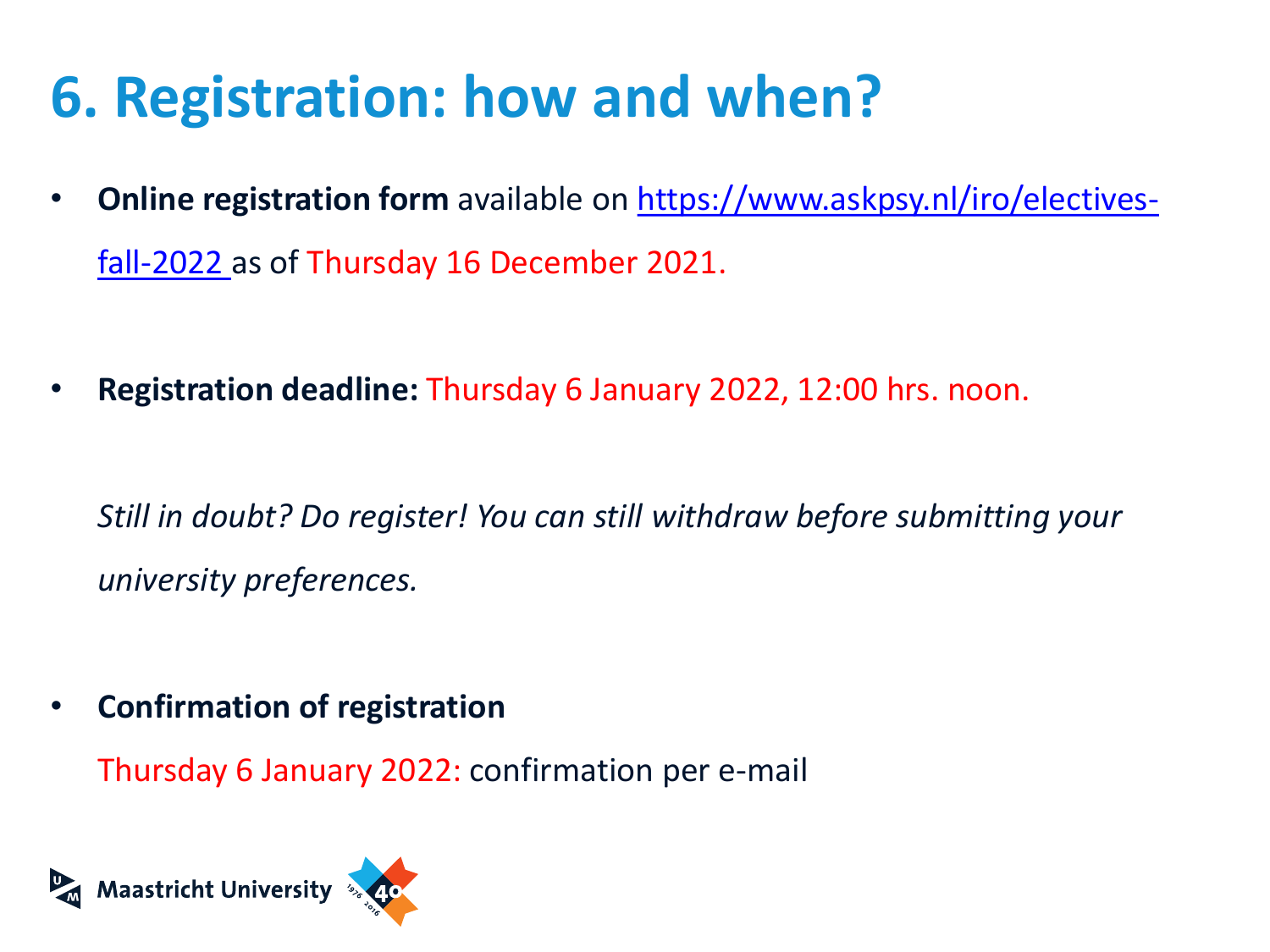## **6. Registration: how and when?**

- **Online registration form** available [on https://www.askpsy.nl/iro/electives](http://www.askpsy.nl/iro/electives-fall-2021)fall-2022 as of Thursday 16 December 2021.
- **Registration deadline:** Thursday 6 January 2022, 12:00 hrs. noon.

*Still in doubt? Do register! You can still withdraw before submitting your university preferences.*

• **Confirmation of registration**

Thursday 6 January 2022: confirmation per e-mail

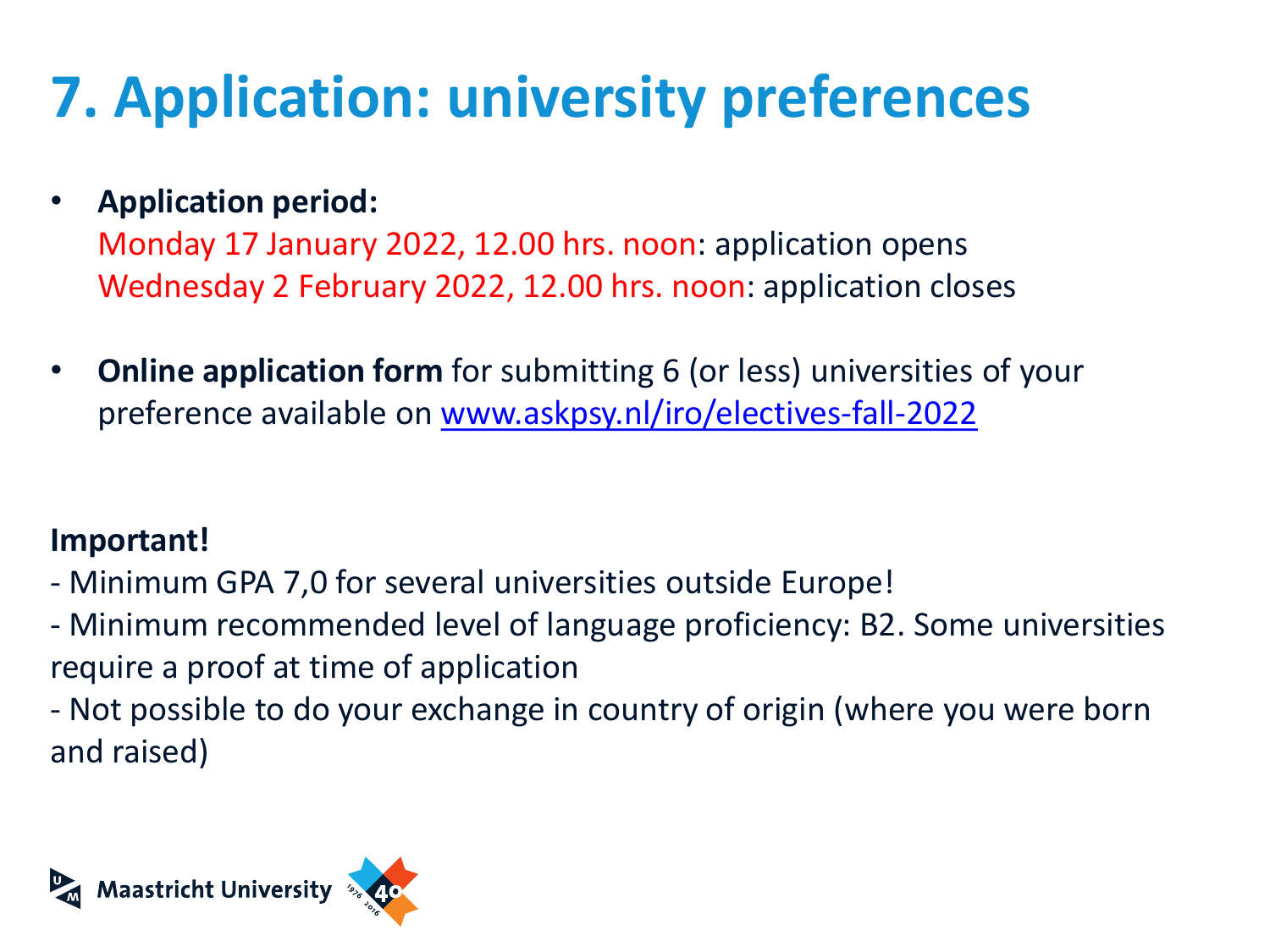# **7. Application: university preferences**

#### • **Application period:**

Monday 17 January 2022, 12.00 hrs. noon: application opens Wednesday 2 February 2022, 12.00 hrs. noon: application closes

• **Online application form** for submitting 6 (or less) universities of your preference available on [www.askpsy.nl/iro/electives-fall-2022](https://www.askpsy.nl/iro/electives-fall-2022)

#### **Important!**

- Minimum GPA 7,0 for several universities outside Europe!
- Minimum recommended level of language proficiency: B2. Some universities require a proof at time of application
- Not possible to do your exchange in country of origin (where you were born and raised)

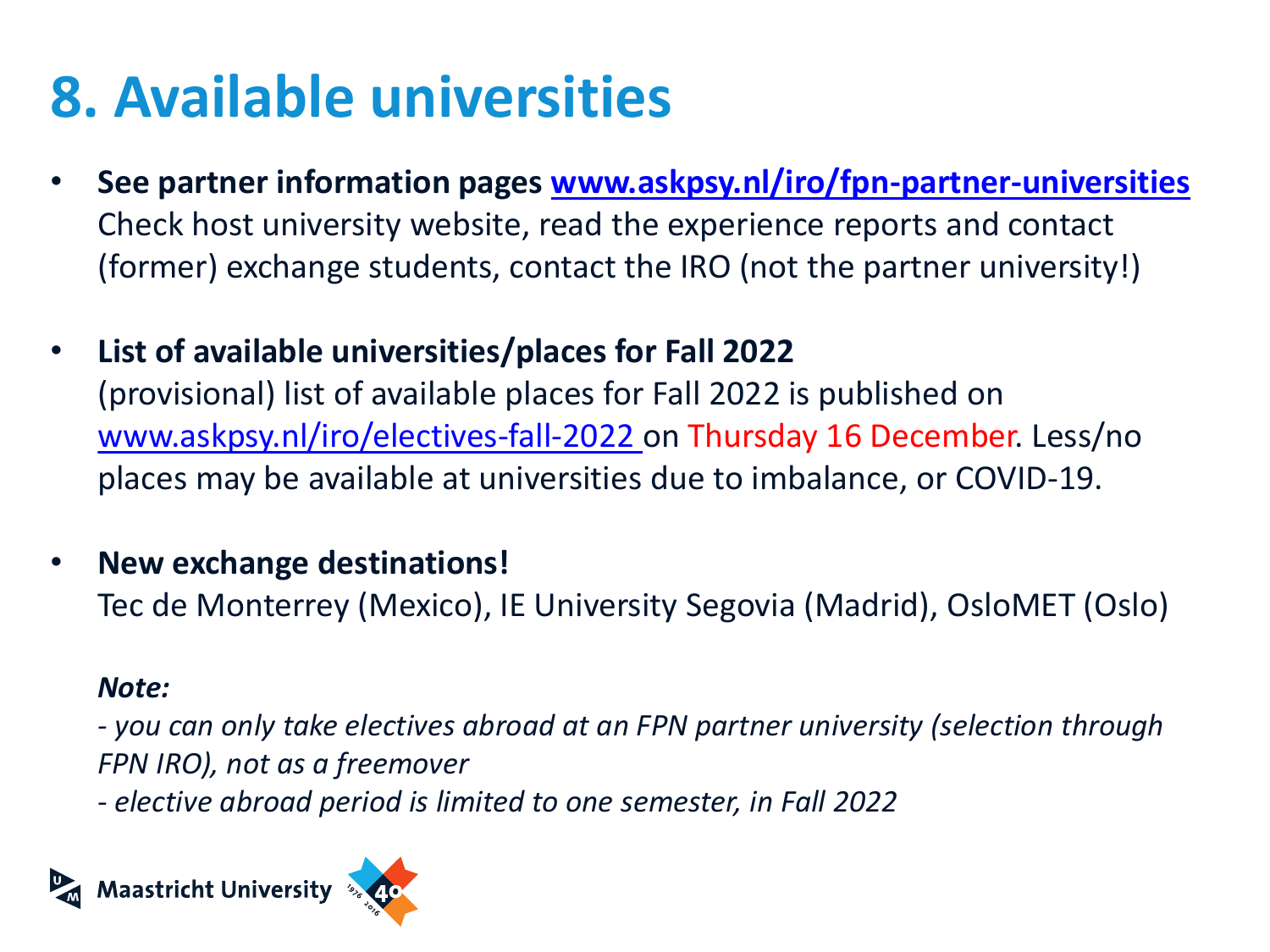## **8. Available universities**

- **See partner information pages [www.askpsy.nl/iro/fpn-partner-universities](http://www.askpsy.nl/iro/fpn-partner-universities)** Check host university website, read the experience reports and contact (former) exchange students, contact the IRO (not the partner university!)
- **List of available universities/places for Fall 2022** (provisional) list of available places for Fall 2022 is published on [www.askpsy.nl/iro/electives-fall-2022 o](https://www.askpsy.nl/iro/electives-fall-2022)n Thursday 16 December. Less/no places may be available at universities due to imbalance, or COVID-19.
- **New exchange destinations!**

Tec de Monterrey (Mexico), IE University Segovia (Madrid), OsloMET (Oslo)

#### *Note:*

*- you can only take electives abroad at an FPN partner university (selection through FPN IRO), not as a freemover*

*- elective abroad period is limited to one semester, in Fall 2022*

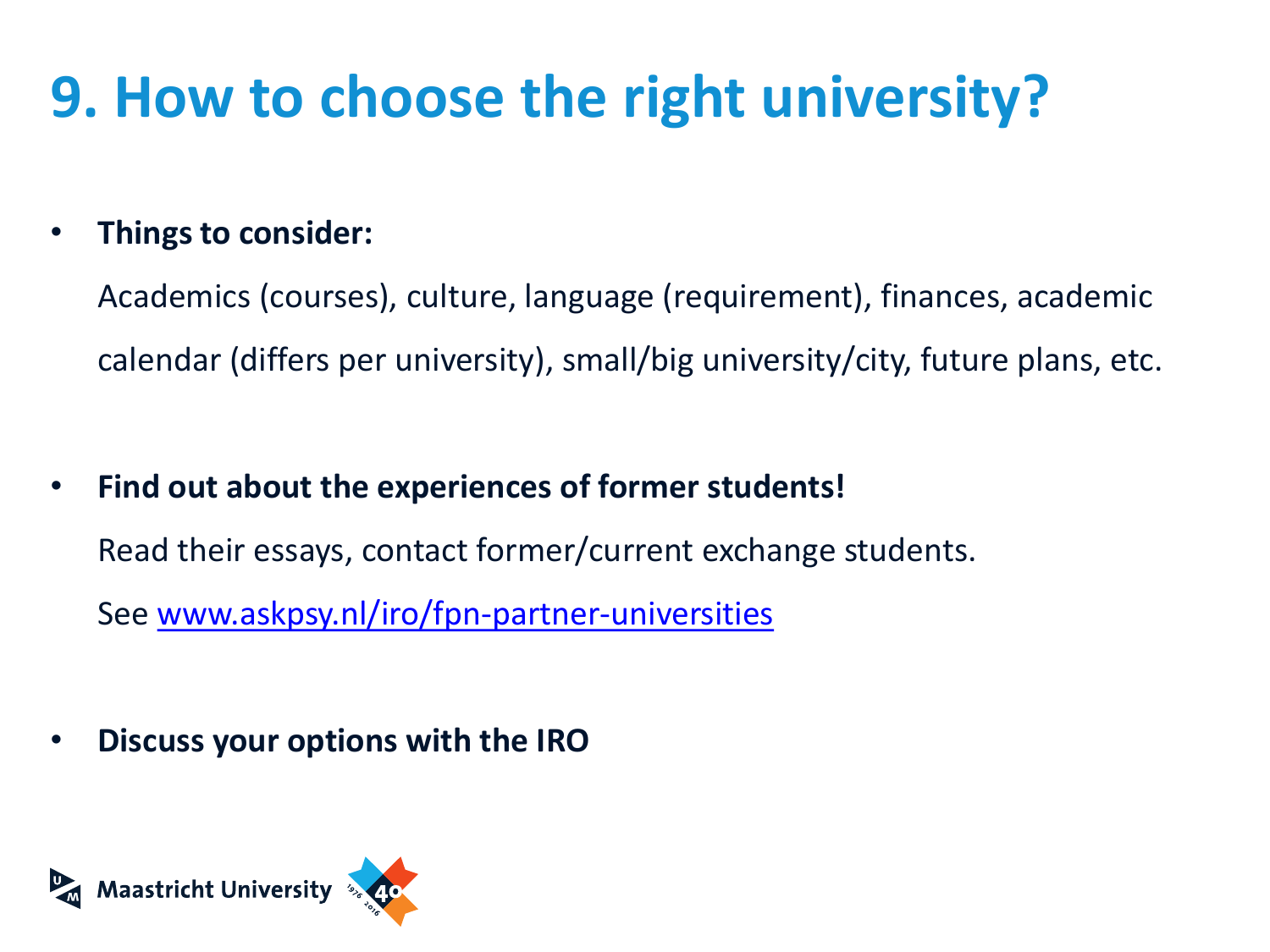### **9. How to choose the right university?**

### • **Things to consider:**

Academics (courses), culture, language (requirement), finances, academic calendar (differs per university), small/big university/city, future plans, etc.

• **Find out about the experiences of former students!**

Read their essays, contact former/current exchange students.

See [www.askpsy.nl/iro/fpn-partner-universities](http://www.askpsy.nl/iro/fpn-partner-universities) 

• **Discuss your options with the IRO** 

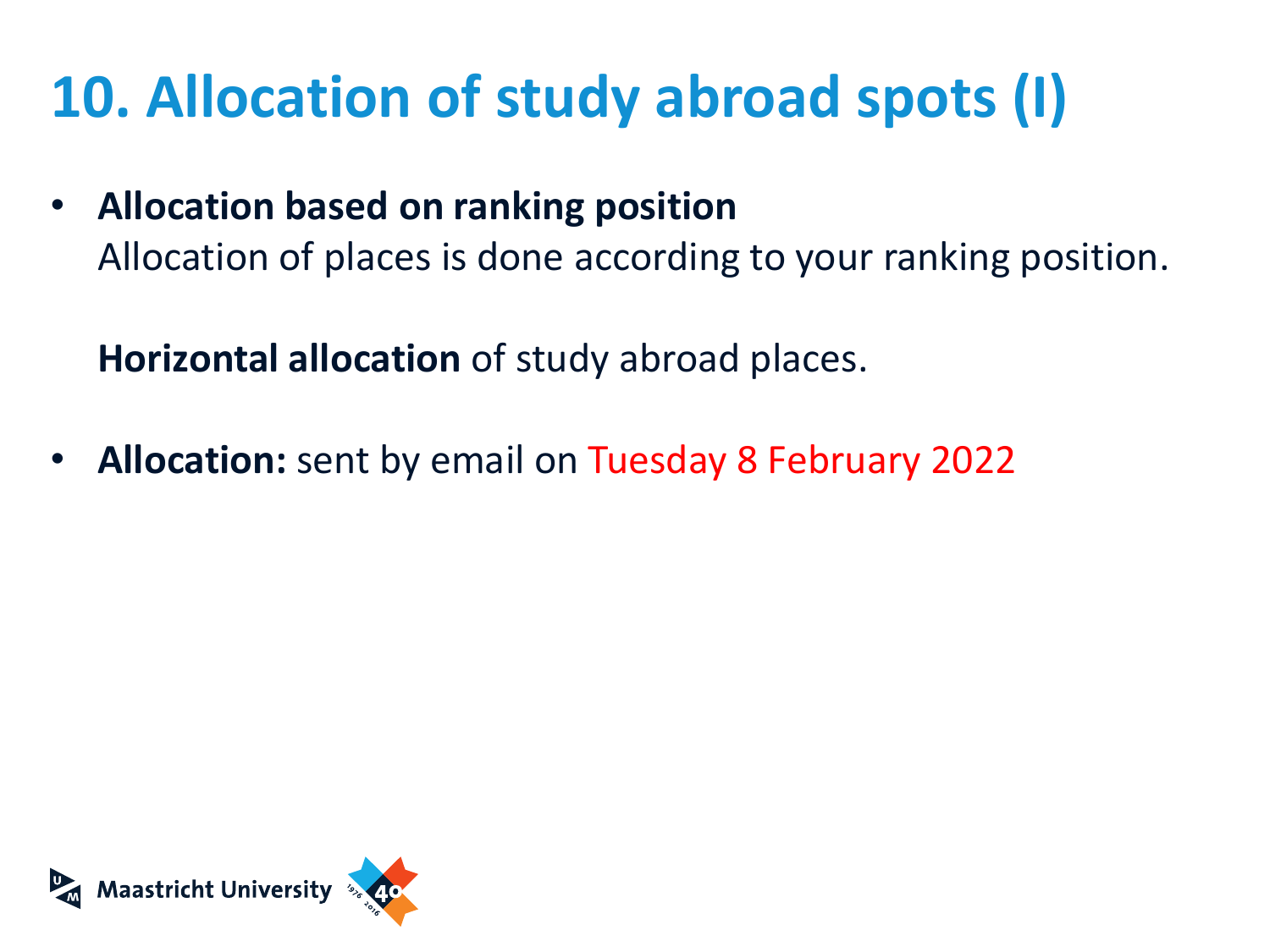# **10. Allocation of study abroad spots (I)**

• **Allocation based on ranking position** Allocation of places is done according to your ranking position.

**Horizontal allocation** of study abroad places.

• **Allocation:** sent by email on Tuesday 8 February 2022

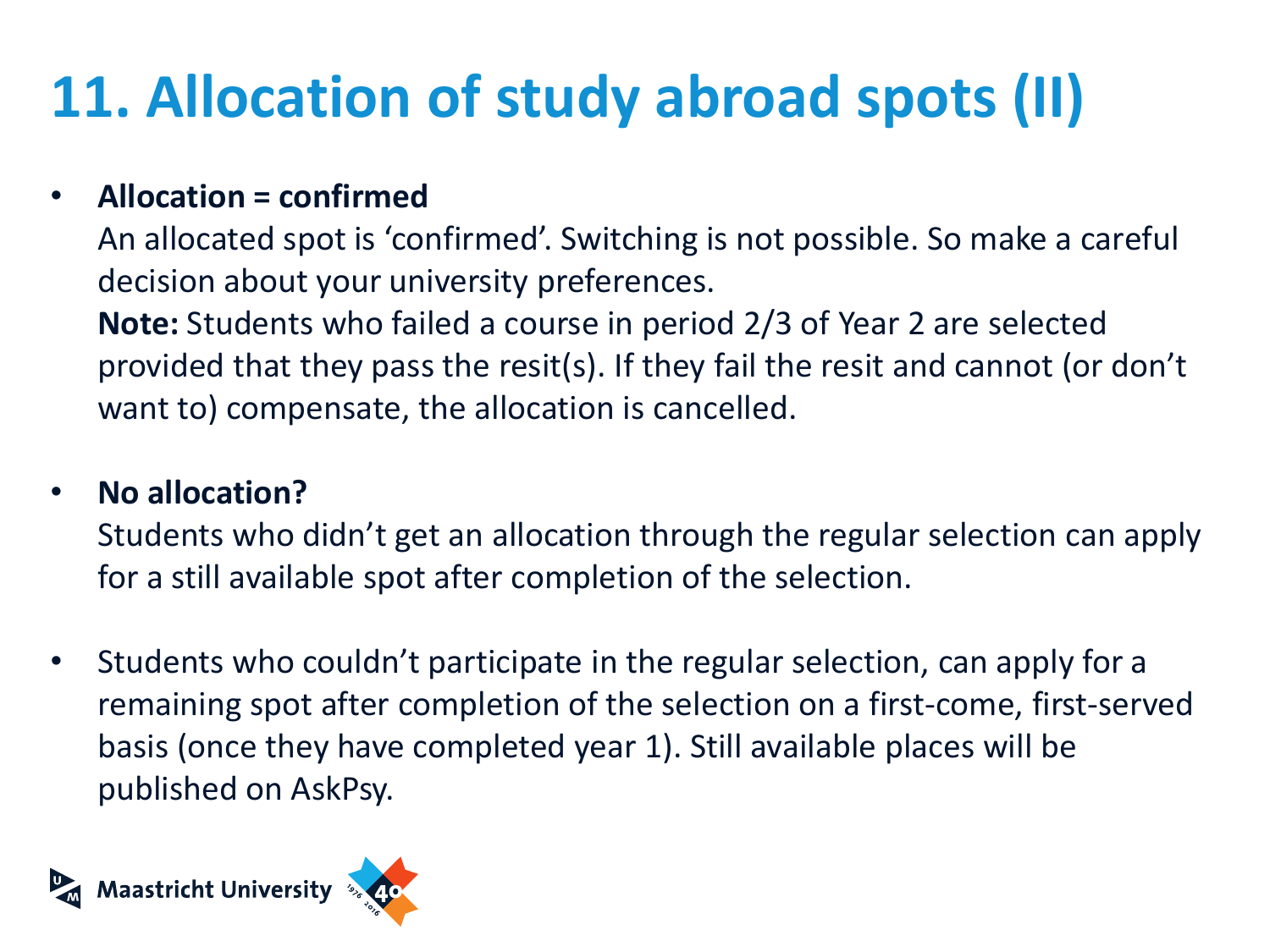# **11. Allocation of study abroad spots (II)**

### • **Allocation = confirmed**

An allocated spot is 'confirmed'. Switching is not possible. So make a careful decision about your university preferences. **Note:** Students who failed a course in period 2/3 of Year 2 are selected provided that they pass the resit(s). If they fail the resit and cannot (or don't want to) compensate, the allocation is cancelled.

#### • **No allocation?**

Students who didn't get an allocation through the regular selection can apply for a still available spot after completion of the selection.

• Students who couldn't participate in the regular selection, can apply for a remaining spot after completion of the selection on a first-come, first-served basis (once they have completed year 1). Still available places will be published on AskPsy.

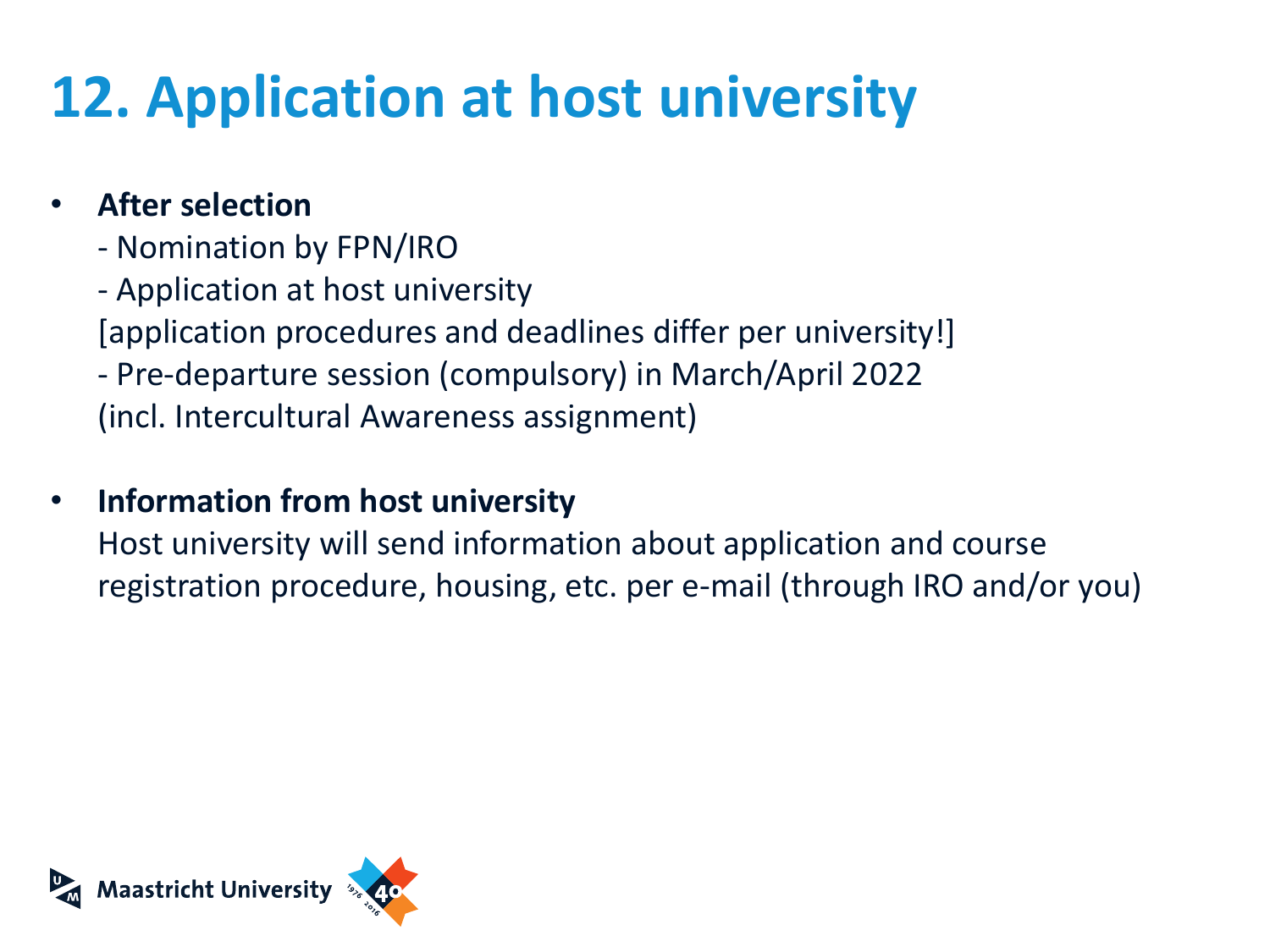## **12. Application at host university**

#### • **After selection**

- Nomination by FPN/IRO
- Application at host university
- [application procedures and deadlines differ per university!]
- Pre-departure session (compulsory) in March/April 2022 (incl. Intercultural Awareness assignment)

### • **Information from host university**

Host university will send information about application and course registration procedure, housing, etc. per e-mail (through IRO and/or you)

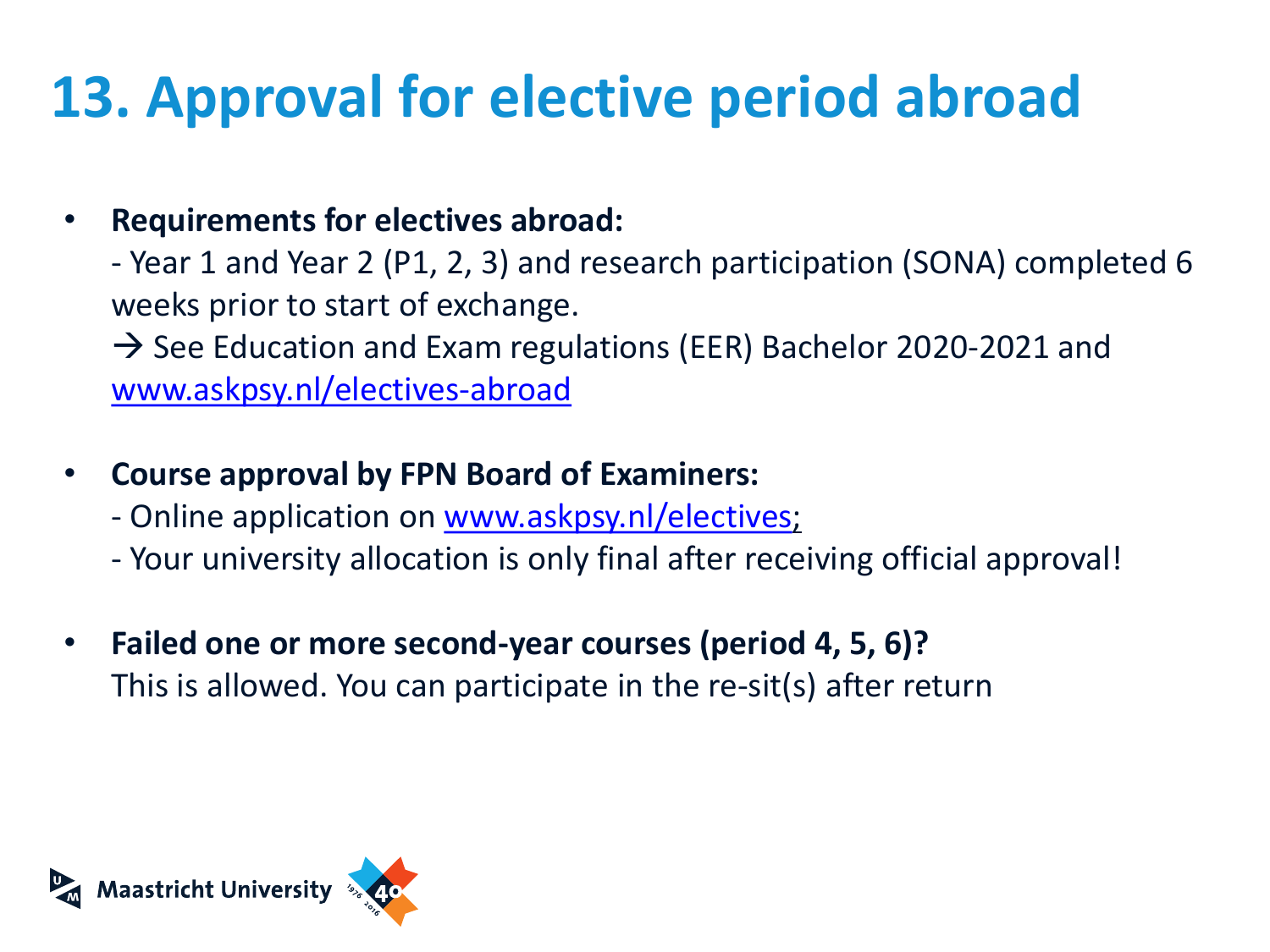## **13. Approval for elective period abroad**

• **Requirements for electives abroad:**

- Year 1 and Year 2 (P1, 2, 3) and research participation (SONA) completed 6 weeks prior to start of exchange.

 $\rightarrow$  See Education and Exam regulations (EER) Bachelor 2020-2021 and [www.askpsy.nl/electives-abroad](http://www.askpsy.nl/electives-abroad)

- **Course approval by FPN Board of Examiners:**
	- Online application on [www.askpsy.nl/electives](http://www.askpsy.nl/electives);
	- Your university allocation is only final after receiving official approval!
- **Failed one or more second-year courses (period 4, 5, 6)?** This is allowed. You can participate in the re-sit(s) after return

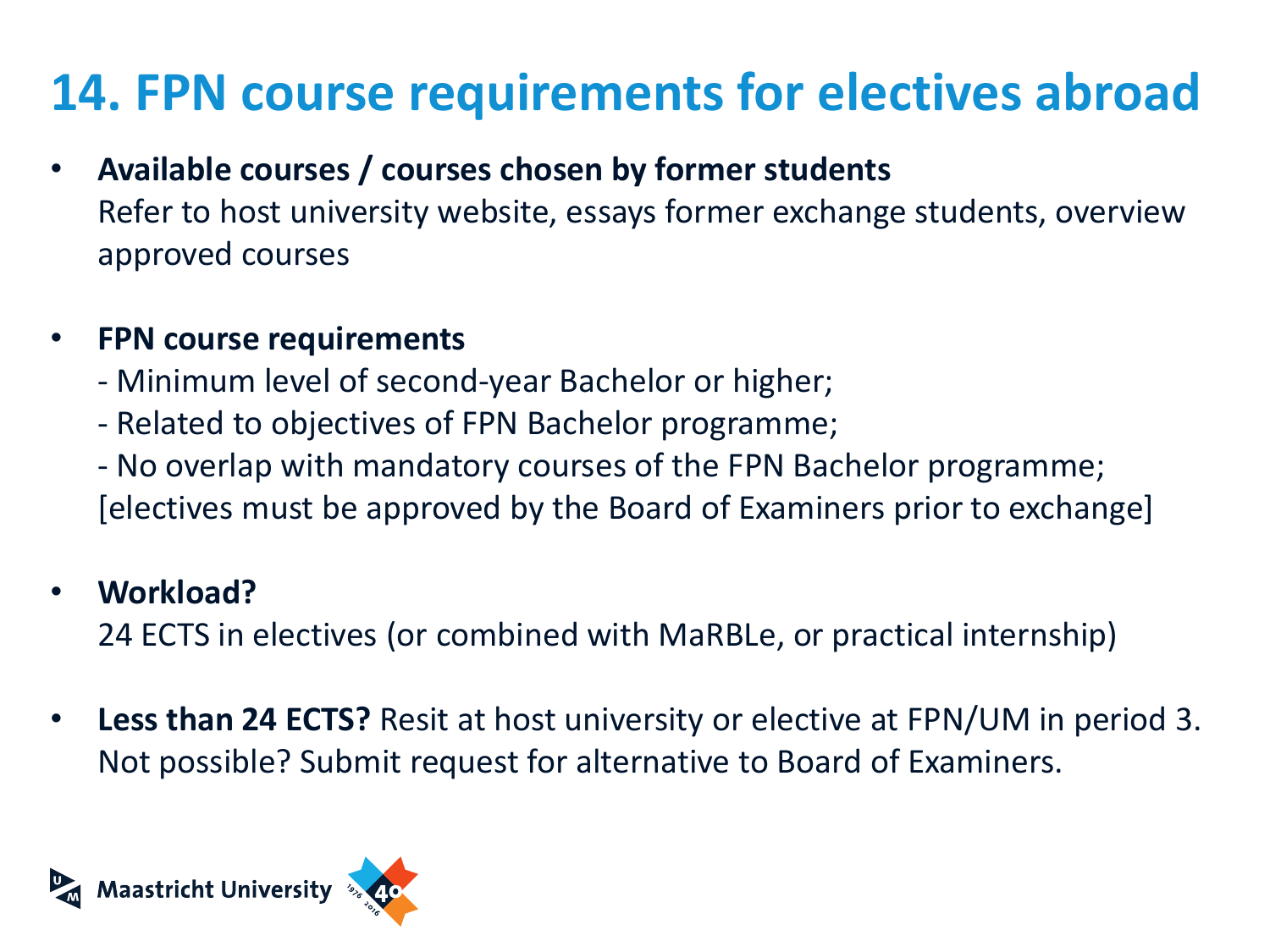### **14. FPN course requirements for electives abroad**

- **Available courses / courses chosen by former students** Refer to host university website, essays former exchange students, overview approved courses
- **FPN course requirements**
	- Minimum level of second-year Bachelor or higher;
	- Related to objectives of FPN Bachelor programme;
	- No overlap with mandatory courses of the FPN Bachelor programme; [electives must be approved by the Board of Examiners prior to exchange]

### • **Workload?**

24 ECTS in electives (or combined with MaRBLe, or practical internship)

• **Less than 24 ECTS?** Resit at host university or elective at FPN/UM in period 3. Not possible? Submit request for alternative to Board of Examiners.

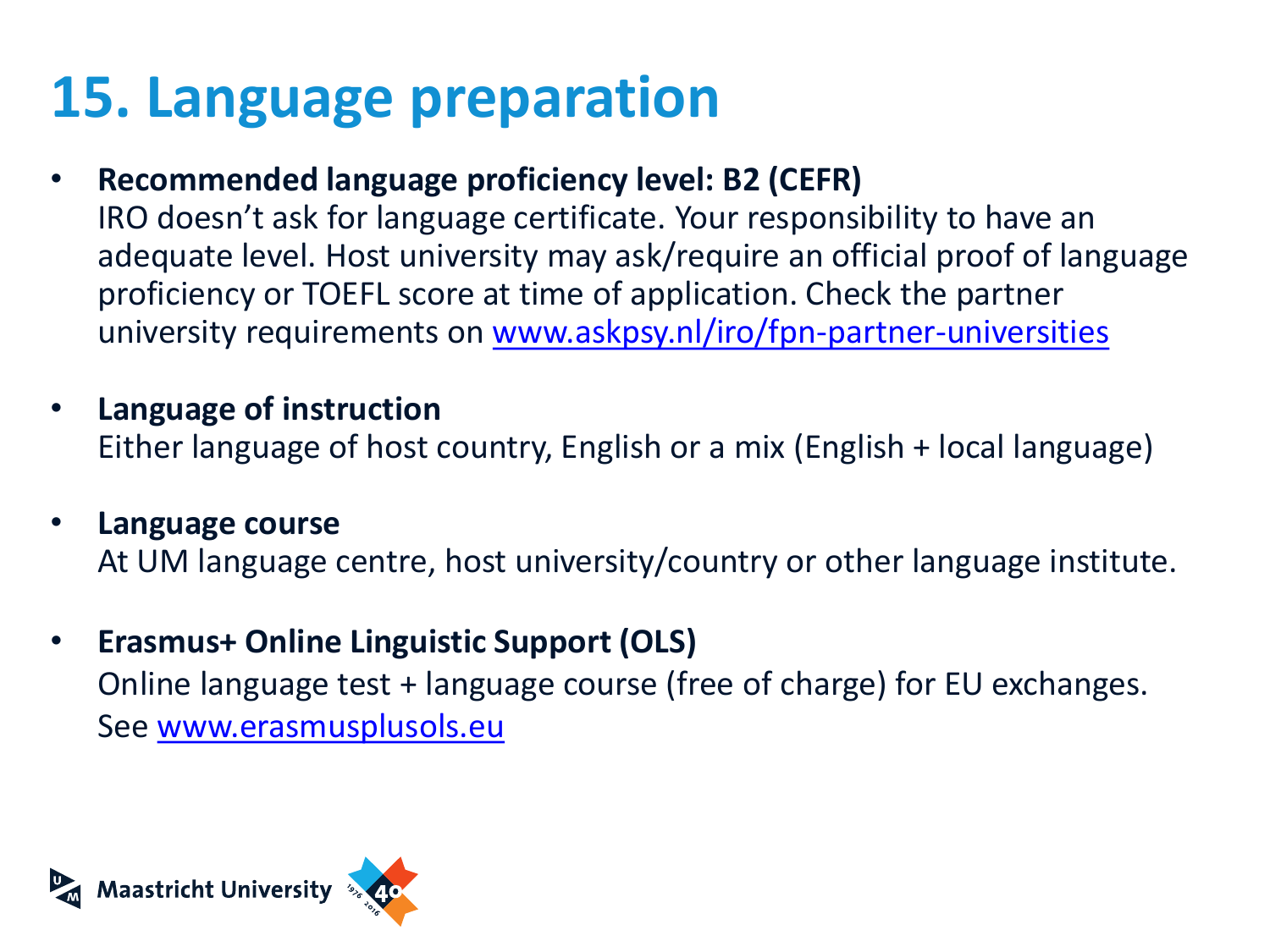### **15. Language preparation**

- **Recommended language proficiency level: B2 (CEFR)** IRO doesn't ask for language certificate. Your responsibility to have an adequate level. Host university may ask/require an official proof of language proficiency or TOEFL score at time of application. Check the partner university requirements on [www.askpsy.nl/iro/fpn-partner-universities](https://www.askpsy.nl/iro/fpn-partner-universities)
- **Language of instruction** Either language of host country, English or a mix (English + local language)
- **Language course** At UM language centre, host university/country or other language institute.
- **Erasmus+ Online Linguistic Support (OLS)**  Online language test + language course (free of charge) for EU exchanges. See [www.erasmusplusols.eu](http://www.erasmusplusols.eu/)

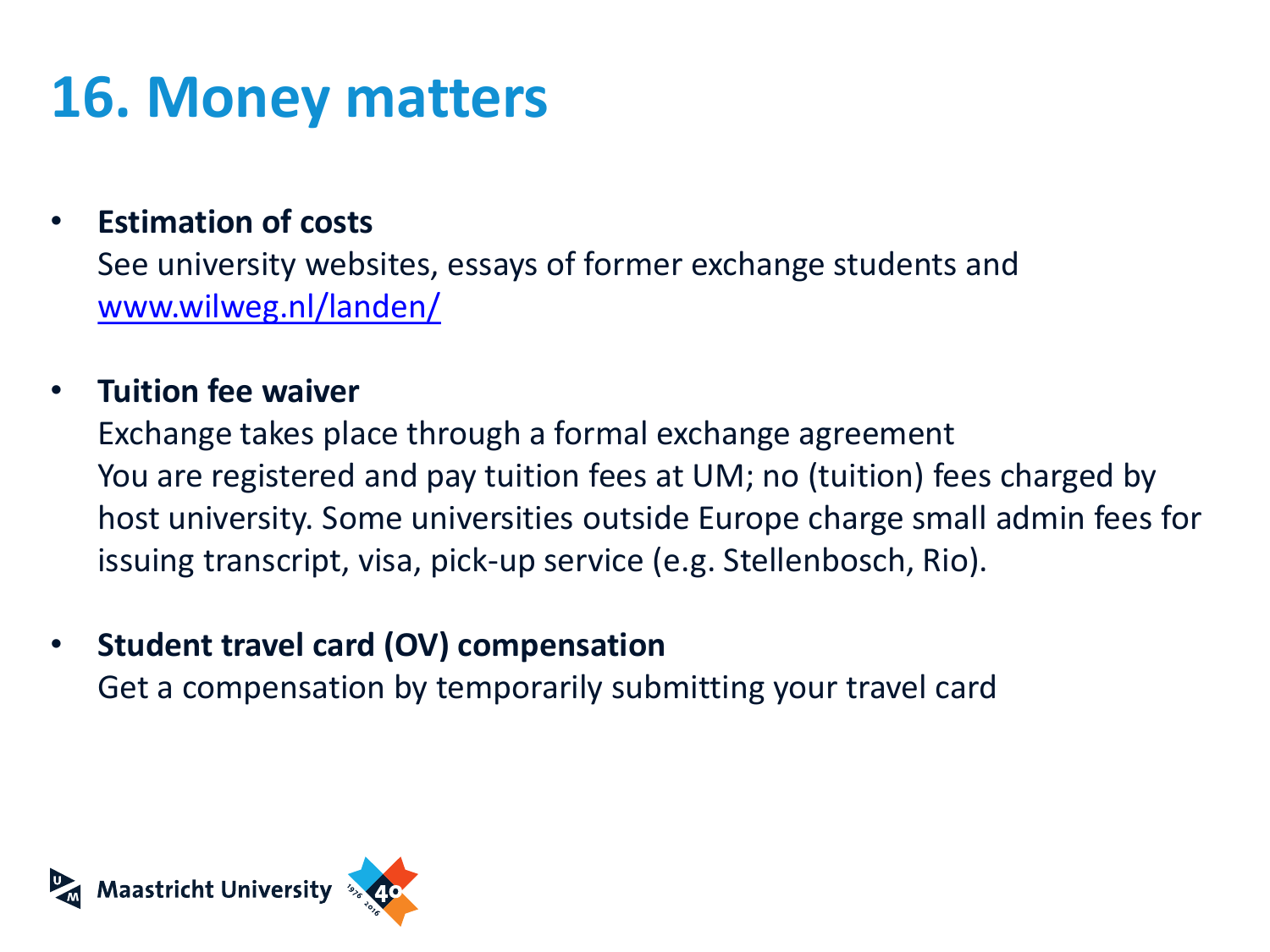### **16. Money matters**

#### • **Estimation of costs**

See university websites, essays of former exchange students and [www.wilweg.nl/landen/](http://www.wilweg.nl/landen/)

#### • **Tuition fee waiver**

Exchange takes place through a formal exchange agreement You are registered and pay tuition fees at UM; no (tuition) fees charged by host university. Some universities outside Europe charge small admin fees for issuing transcript, visa, pick-up service (e.g. Stellenbosch, Rio).

#### • **Student travel card (OV) compensation**

Get a compensation by temporarily submitting your travel card

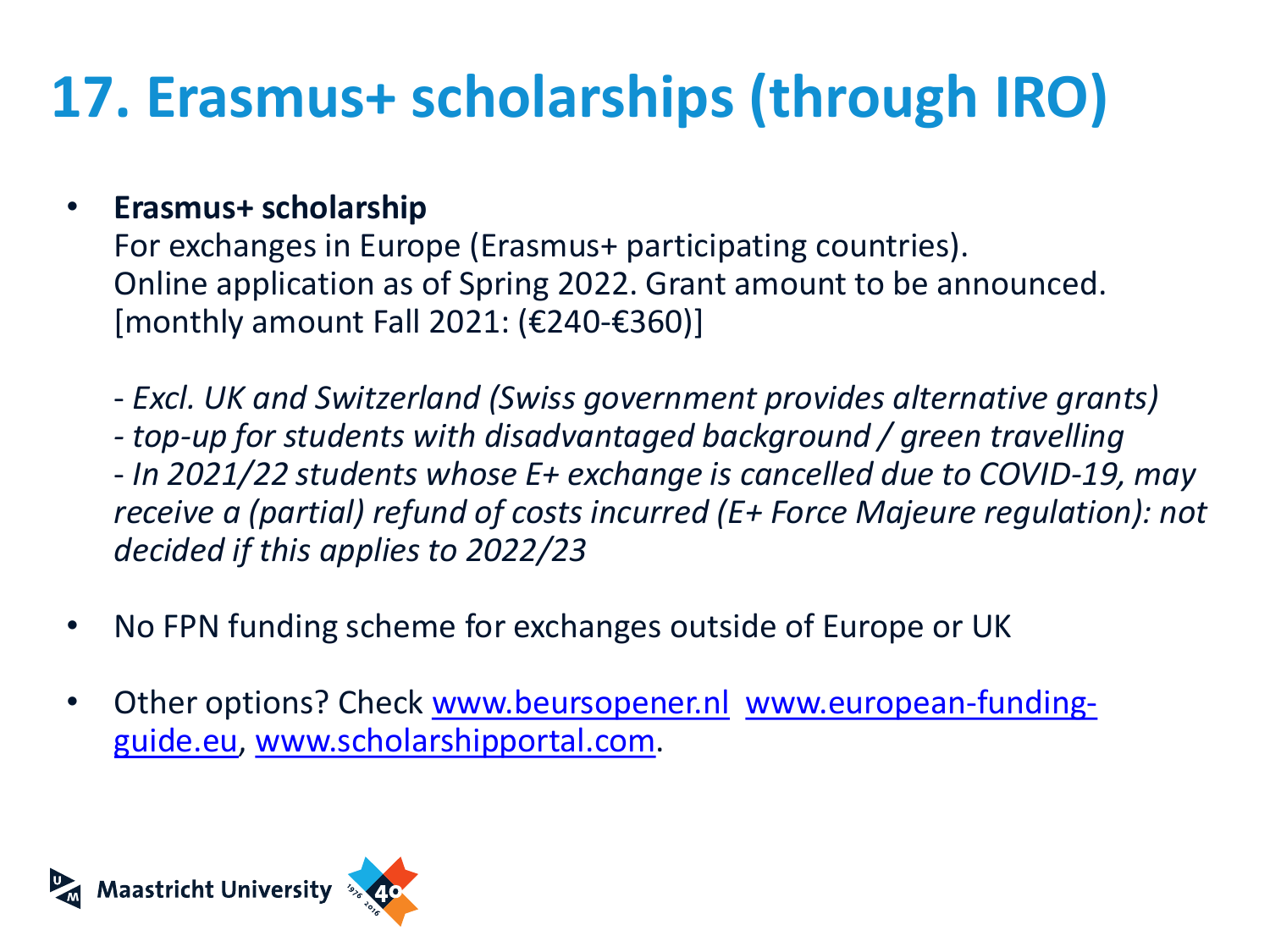# **17. Erasmus+ scholarships (through IRO)**

#### • **Erasmus+ scholarship**

For exchanges in Europe (Erasmus+ participating countries). Online application as of Spring 2022. Grant amount to be announced.  $[$ monthly amount Fall 2021: (€240-€360)]

- *Excl. UK and Switzerland (Swiss government provides alternative grants) - top-up for students with disadvantaged background / green travelling* - *In 2021/22 students whose E+ exchange is cancelled due to COVID-19, may receive a (partial) refund of costs incurred (E+ Force Majeure regulation): not decided if this applies to 2022/23*
- No FPN funding scheme for exchanges outside of Europe or UK
- Other options? Check [www.beursopener.nl](http://www.beursopener.nl/) www.european-funding[guide.eu, www.scholarshipportal.com.](http://www.european-funding-guide.eu/)

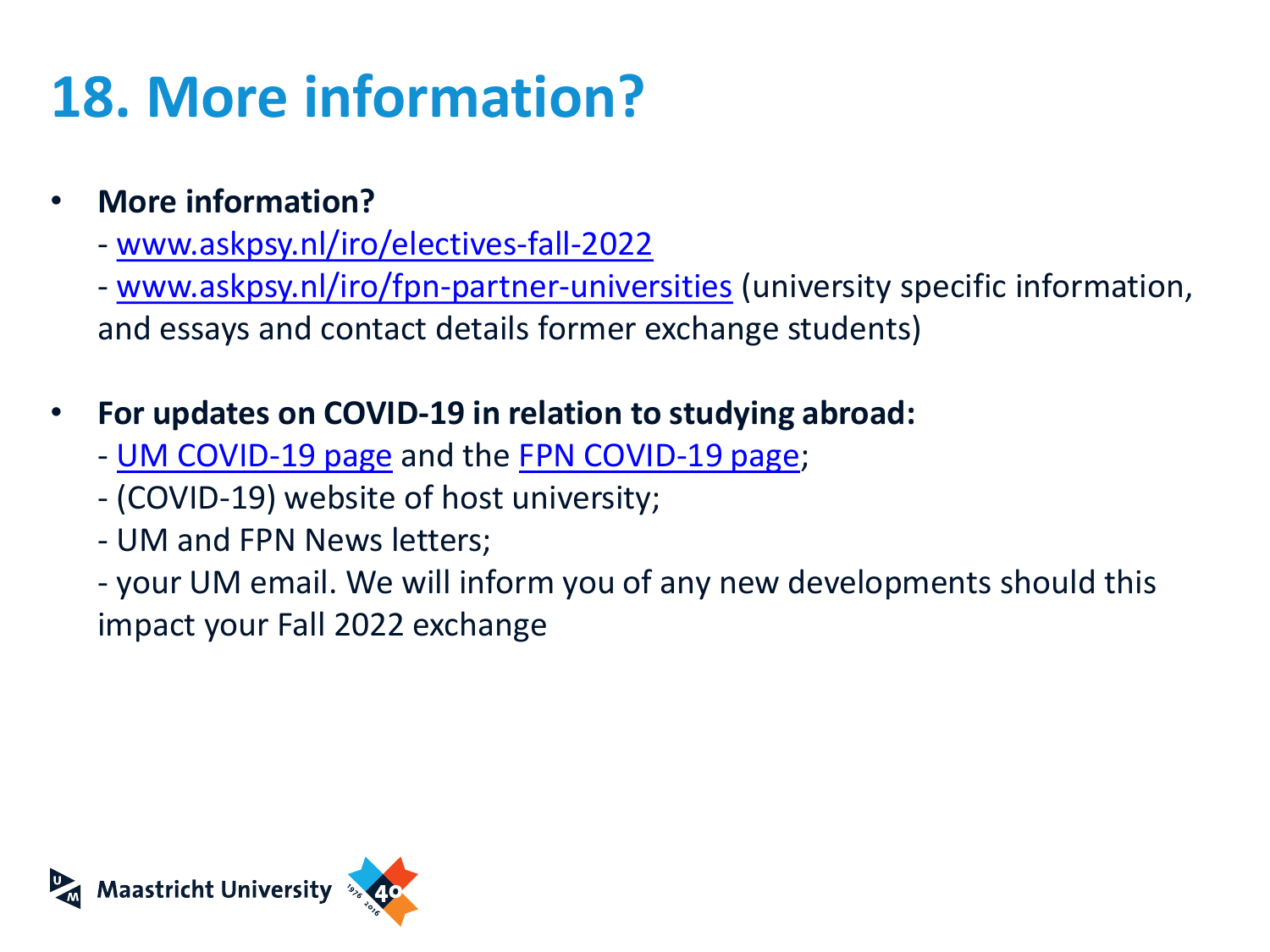### **18. More information?**

- **More information?**
	- [www.askpsy.nl/iro/electives-fall-2022](https://www.askpsy.nl/iro/electives-fall-2022)
	- [www.askpsy.nl/iro/fpn-partner-universities](http://www.askpsy.nl/iro/fpn-partner-universities) (university specific information, and essays and contact details former exchange students)
- **For updates on COVID-19 in relation to studying abroad:**
	- [UM COVID-19 page](https://www.maastrichtuniversity.nl/news/information-coronavirus-covid-19) and the [FPN COVID-19 page;](http://www.askpsy.nl/covid-19)
	- (COVID-19) website of host university;
	- UM and FPN News letters;
	- your UM email. We will inform you of any new developments should this impact your Fall 2022 exchange

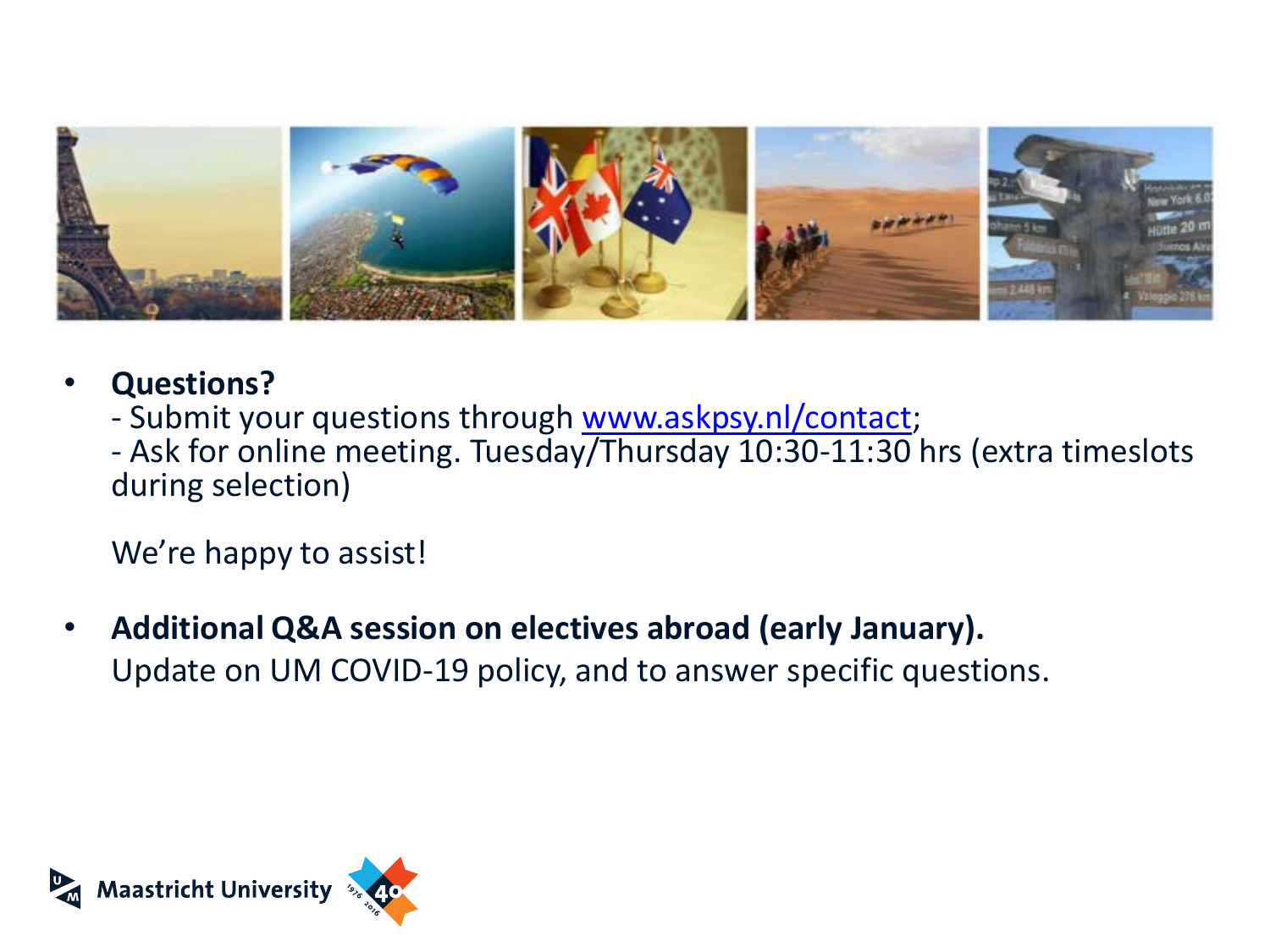

- **Questions?**
	- Submit your questions through [www.askpsy.nl/contact](http://www.askpsy.nl/contact);
	- Ask for online meeting. Tuesday/Thursday 10:30-11:30 hrs (extra timeslots during selection)

We're happy to assist!

• **Additional Q&A session on electives abroad (early January).** Update on UM COVID-19 policy, and to answer specific questions.

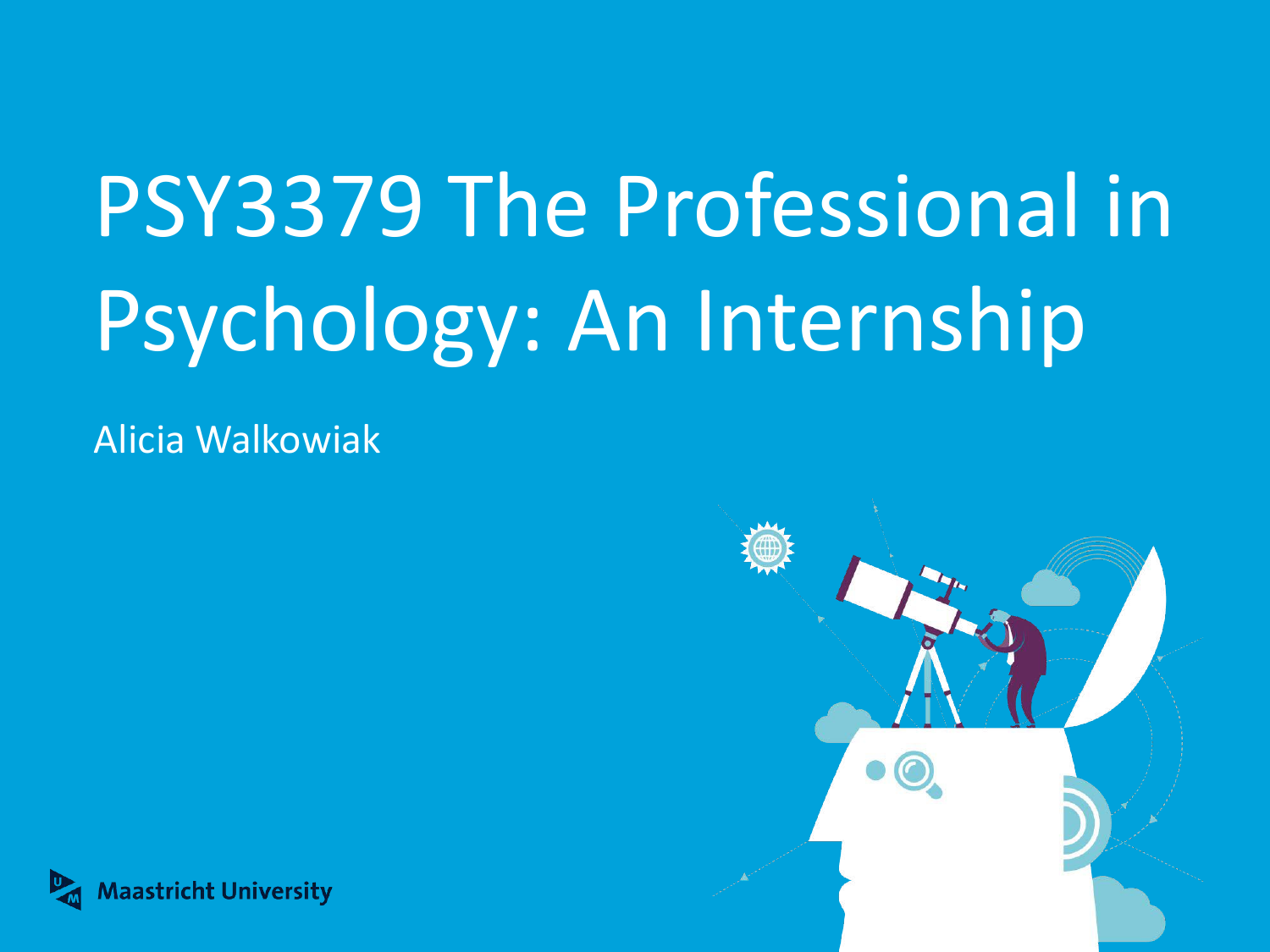# PSY3379 The Professional in Psychology: An Internship

Alicia Walkowiak



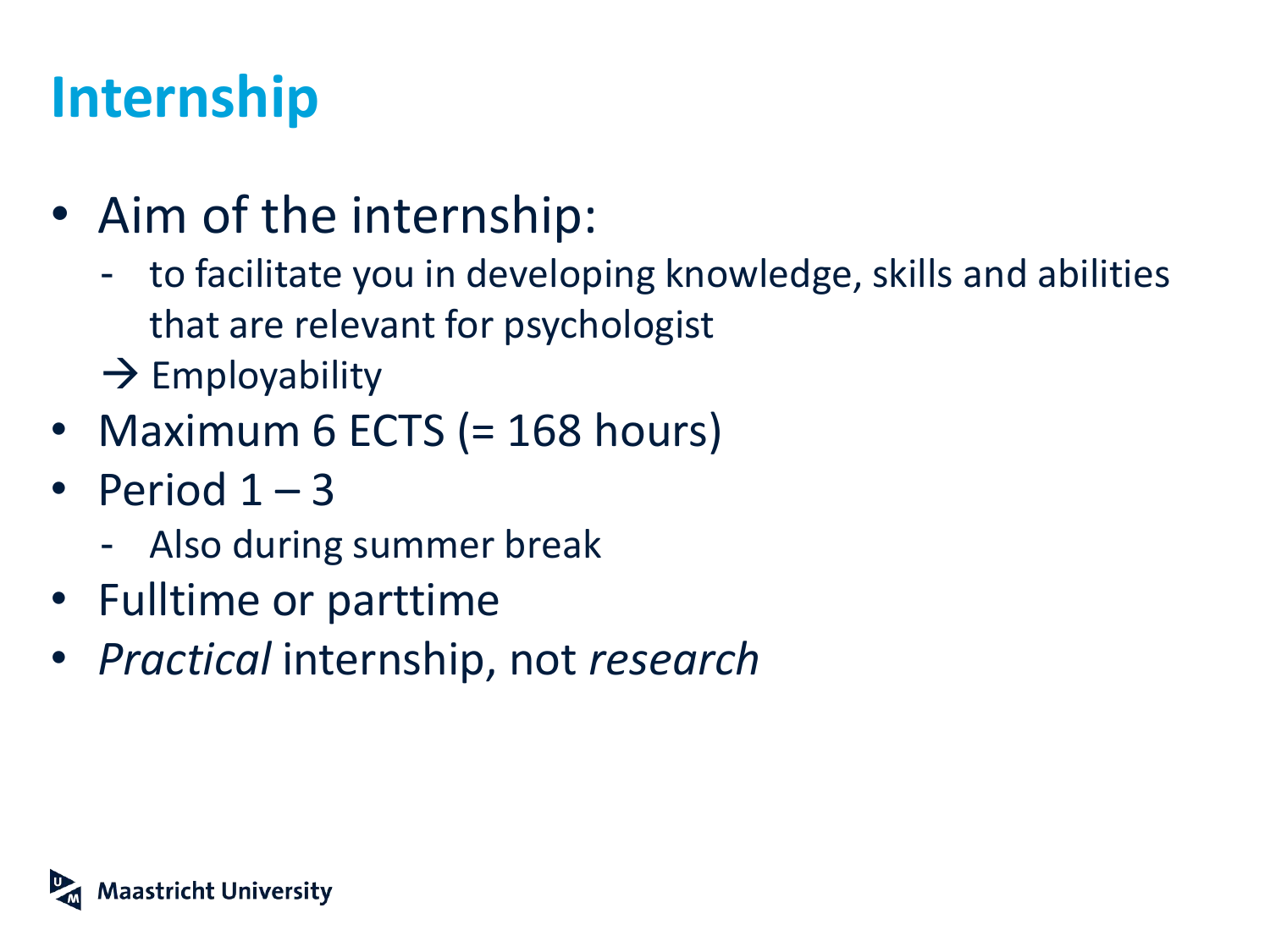### **Internship**

- Aim of the internship:
	- to facilitate you in developing knowledge, skills and abilities that are relevant for psychologist
	- $\rightarrow$  Employability
- Maximum 6 ECTS (= 168 hours)
- Period  $1 3$ 
	- Also during summer break
- Fulltime or parttime
- *Practical* internship, not *research*

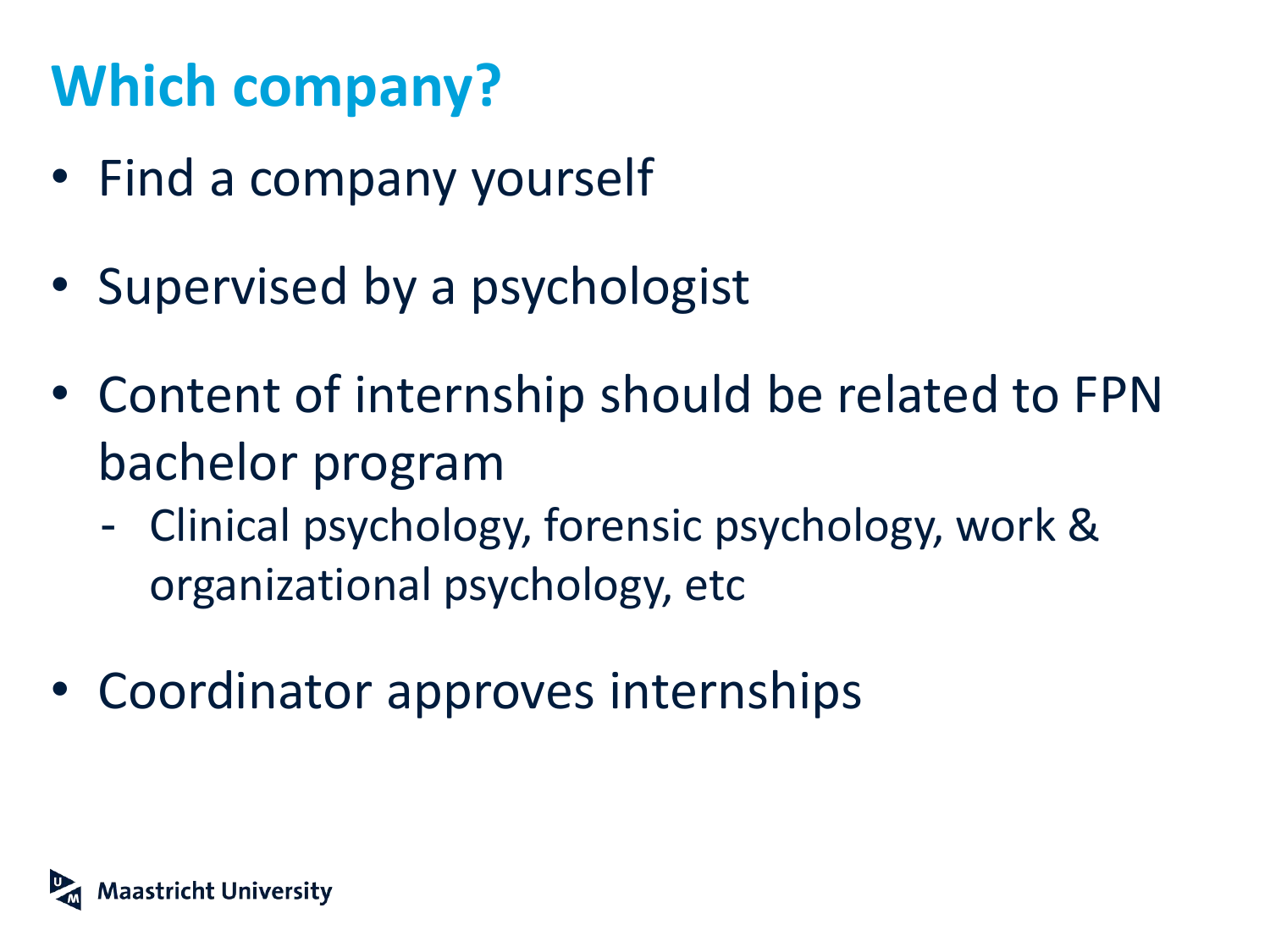# **Which company?**

- Find a company yourself
- Supervised by a psychologist
- Content of internship should be related to FPN bachelor program
	- Clinical psychology, forensic psychology, work & organizational psychology, etc
- Coordinator approves internships

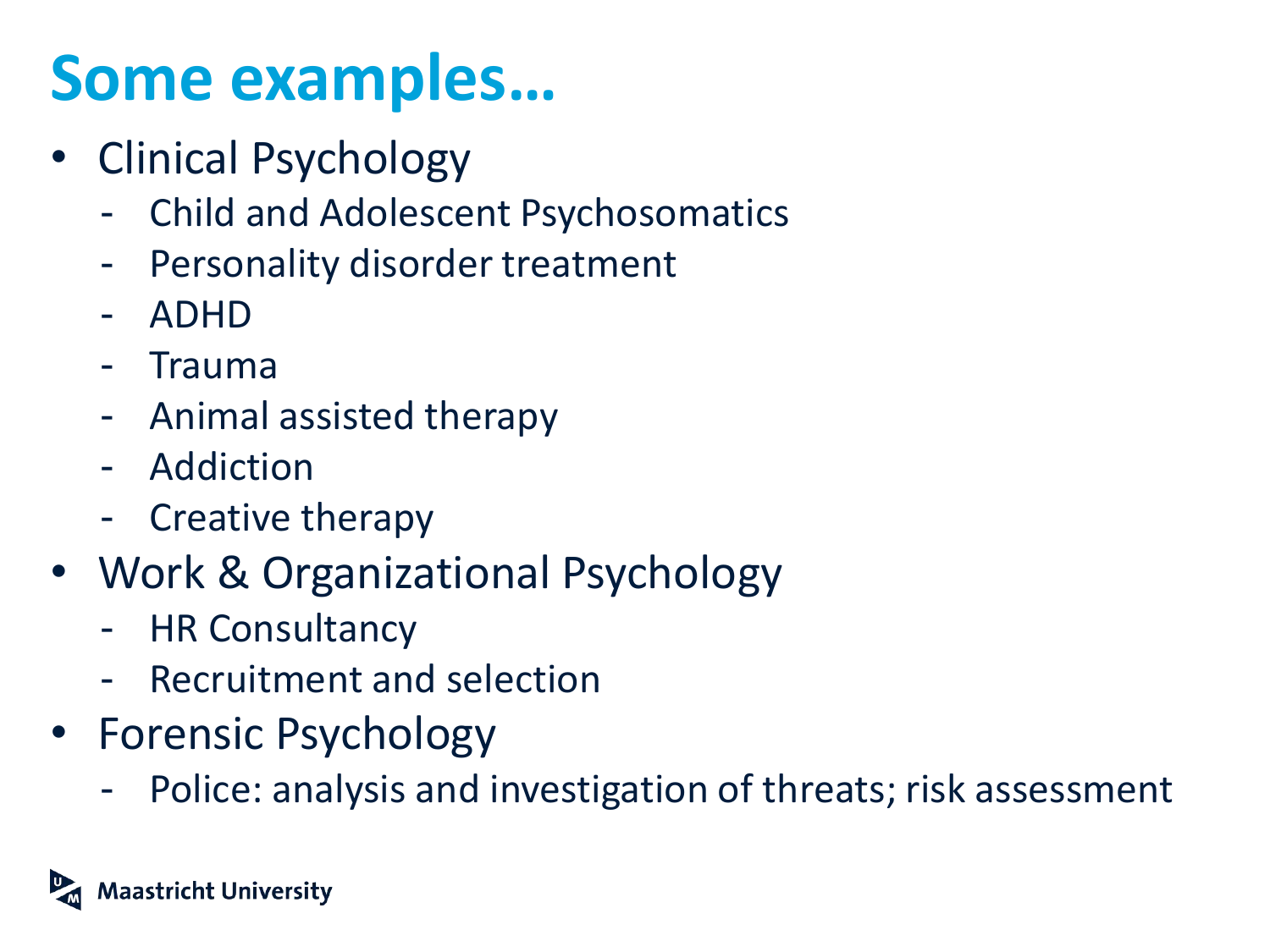# **Some examples…**

- Clinical Psychology
	- Child and Adolescent Psychosomatics
	- **Personality disorder treatment**
	- ADHD
	- Trauma
	- Animal assisted therapy
	- Addiction
	- Creative therapy
- Work & Organizational Psychology
	- HR Consultancy
	- Recruitment and selection
- Forensic Psychology
	- Police: analysis and investigation of threats; risk assessment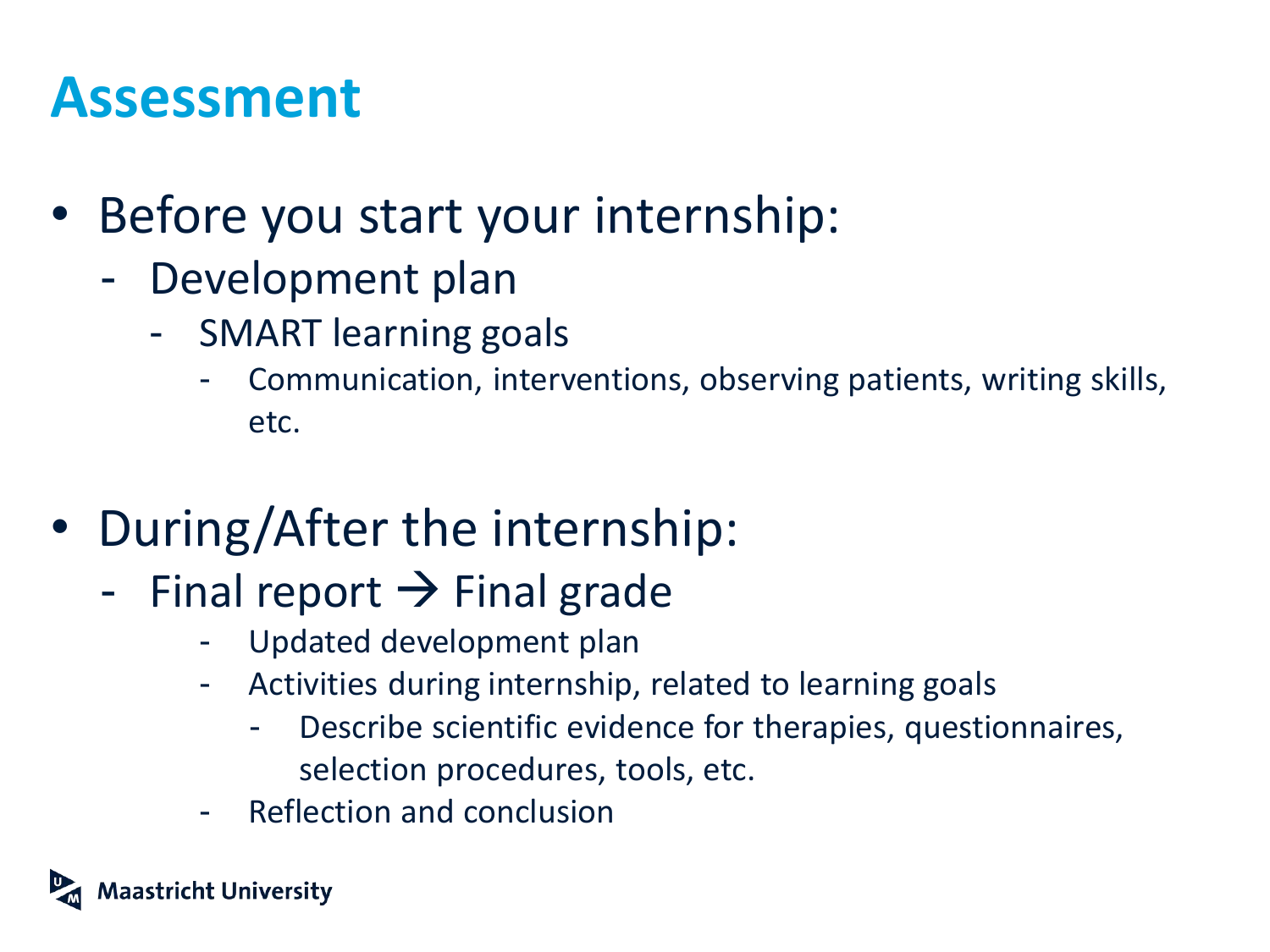### **Assessment**

- Before you start your internship:
	- Development plan
		- SMART learning goals
			- Communication, interventions, observing patients, writing skills, etc.
- During/After the internship:
	- Final report  $\rightarrow$  Final grade
		- Updated development plan
		- Activities during internship, related to learning goals
			- Describe scientific evidence for therapies, questionnaires, selection procedures, tools, etc.
		- Reflection and conclusion

aastricht University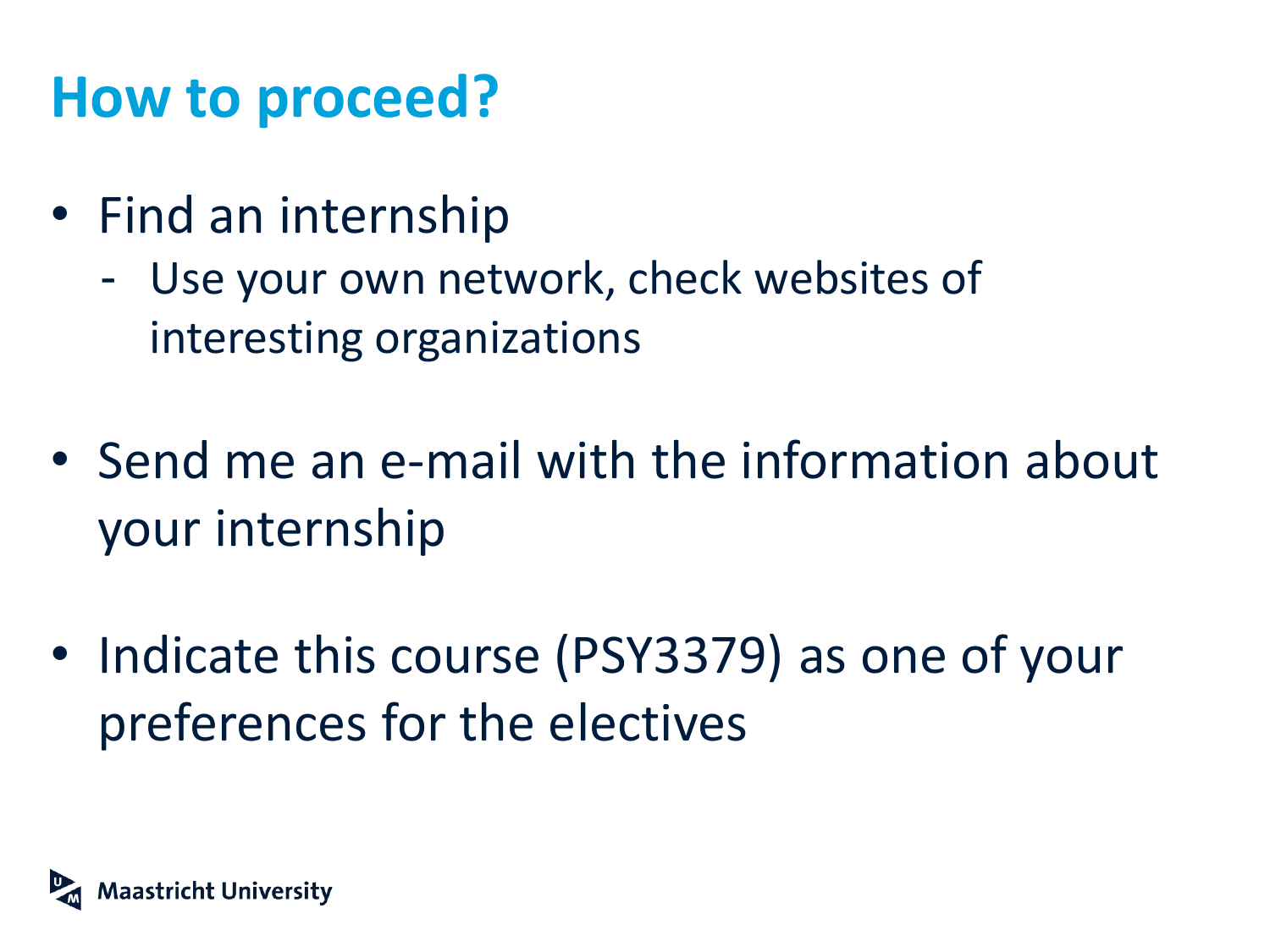### **How to proceed?**

- Find an internship
	- Use your own network, check websites of interesting organizations
- Send me an e-mail with the information about your internship
- Indicate this course (PSY3379) as one of your preferences for the electives

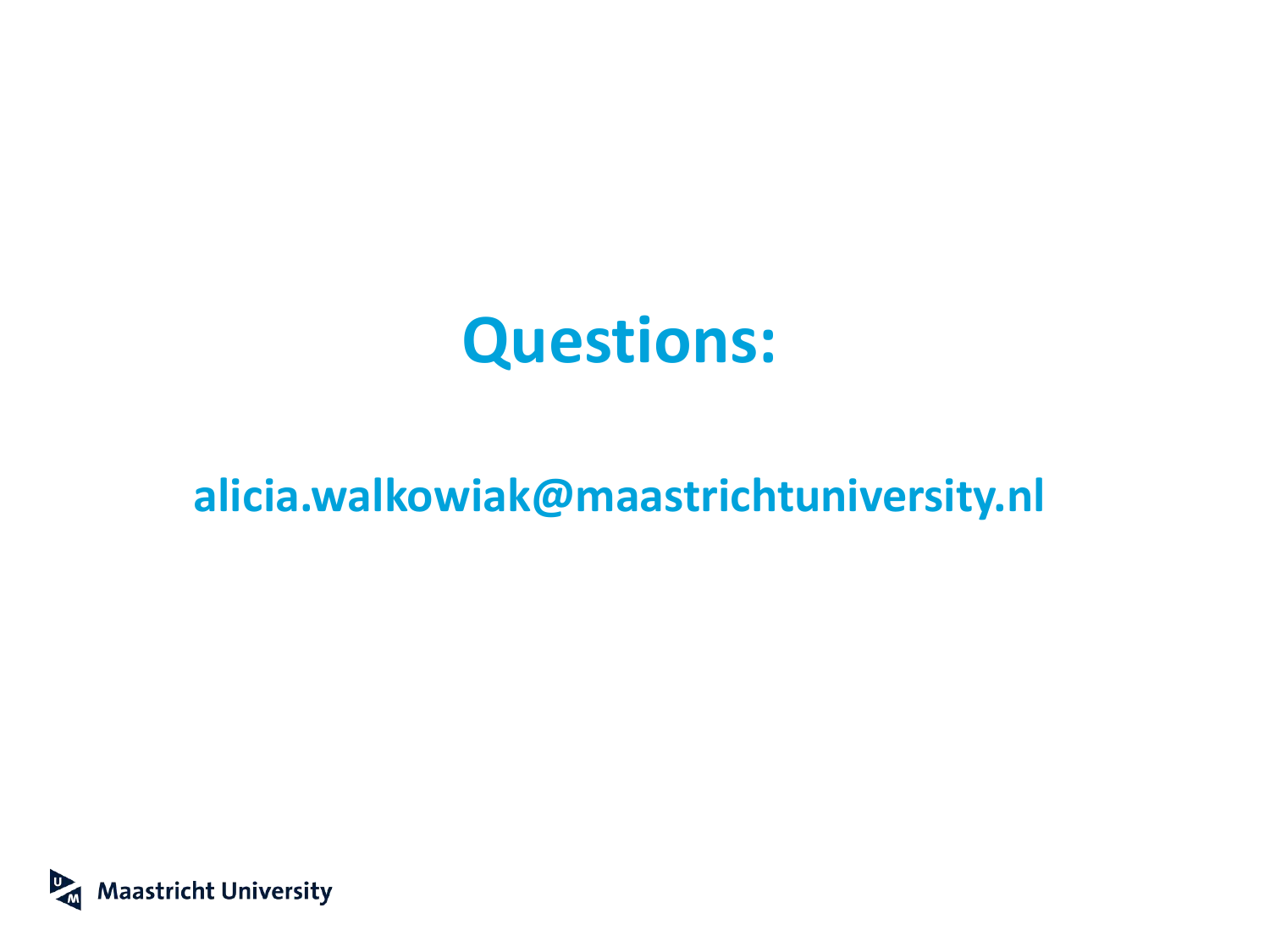### **Questions:**

### **alicia.walkowiak@maastrichtuniversity.nl**

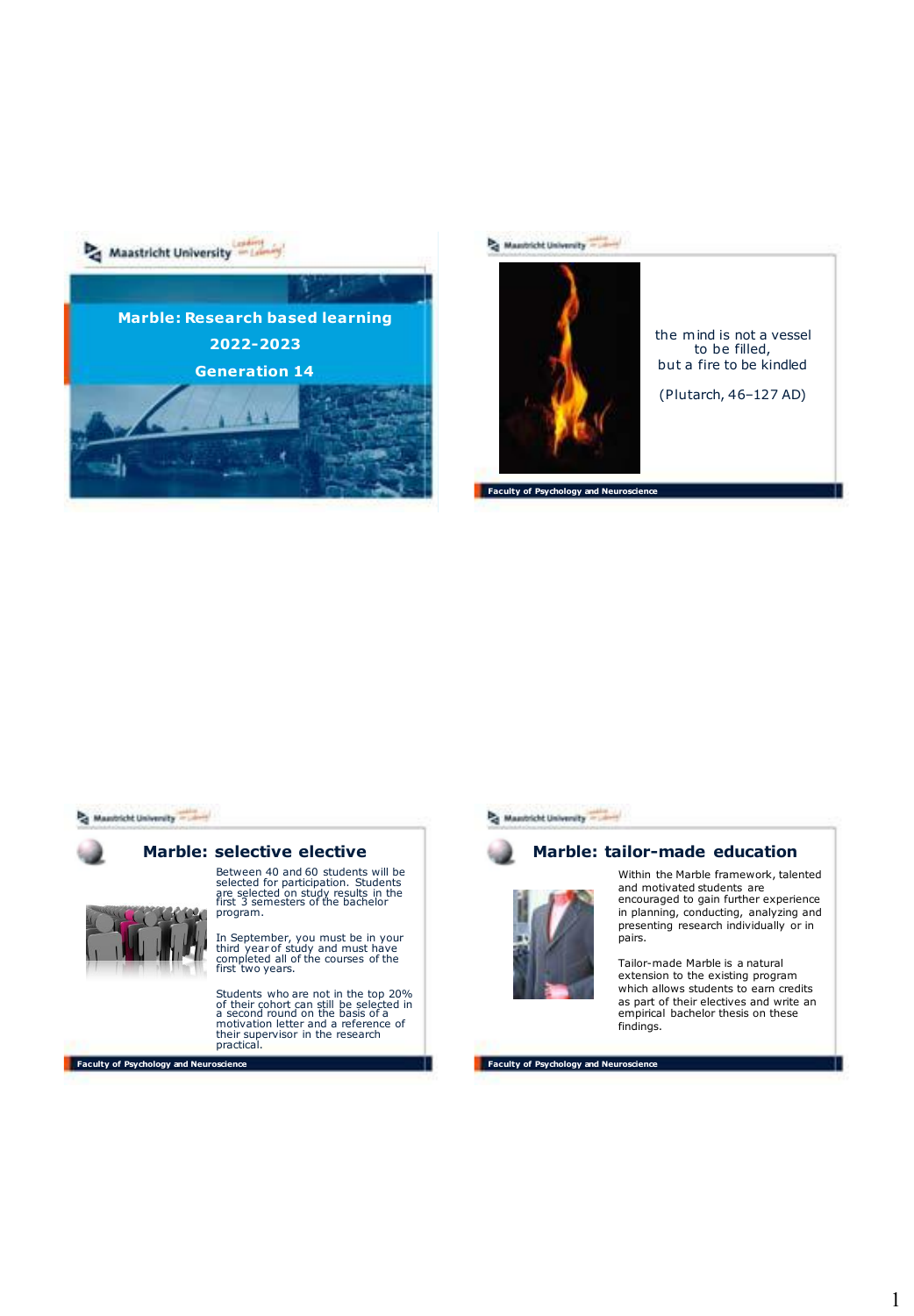



the mind is not a vessel to be filled, but a fire to be kindled

(Plutarch, 46–127 AD)

**Faculty of Psychology and Neuroscience**



**Faculty of Psychology and Neuroscience**



#### **Marble: tailor-made education**



Within the Marble framework, talented and motivated students are encouraged to gain further experience

in planning, conducting, analyzing and presenting research individually or in pairs.

Tailor-made Marble is a natural extension to the existing program which allows students to earn credits as part of their electives and write an empirical bachelor thesis on these findings.

**Faculty of Psychology and Neuroscience**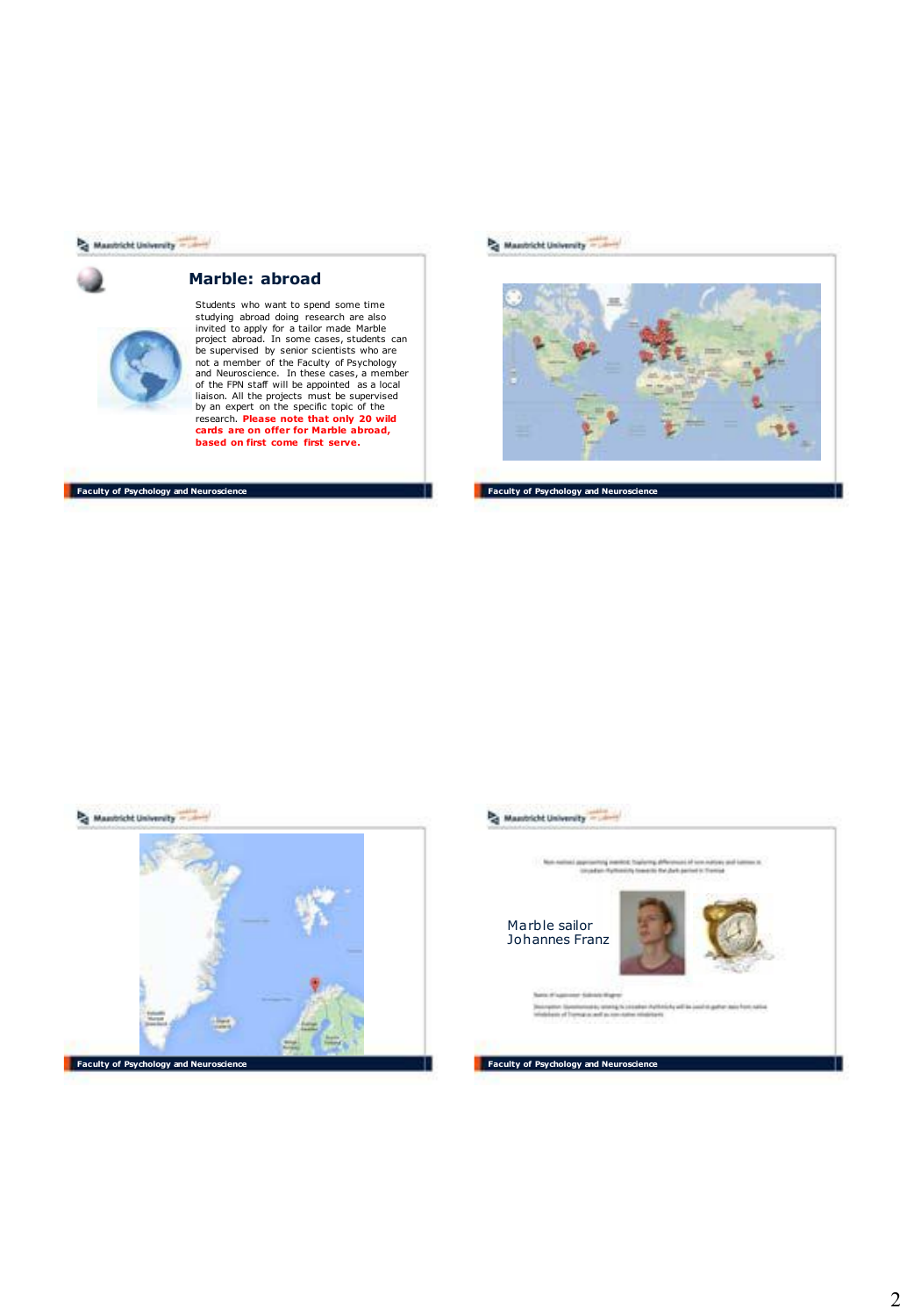#### Mantrick University



#### **Marble: abroad**



Students who want to spend some time<br>studying abroad doing research are also<br>invited to apply for a tailor made Marble<br>project abroad. In some cases, students can<br>be supervised by senior scientists who are<br>not a member of

#### **Faculty of Psychology and Neuroscience**

Mantrick University - 1999



**Faculty of Psychology and Neuroscience** 



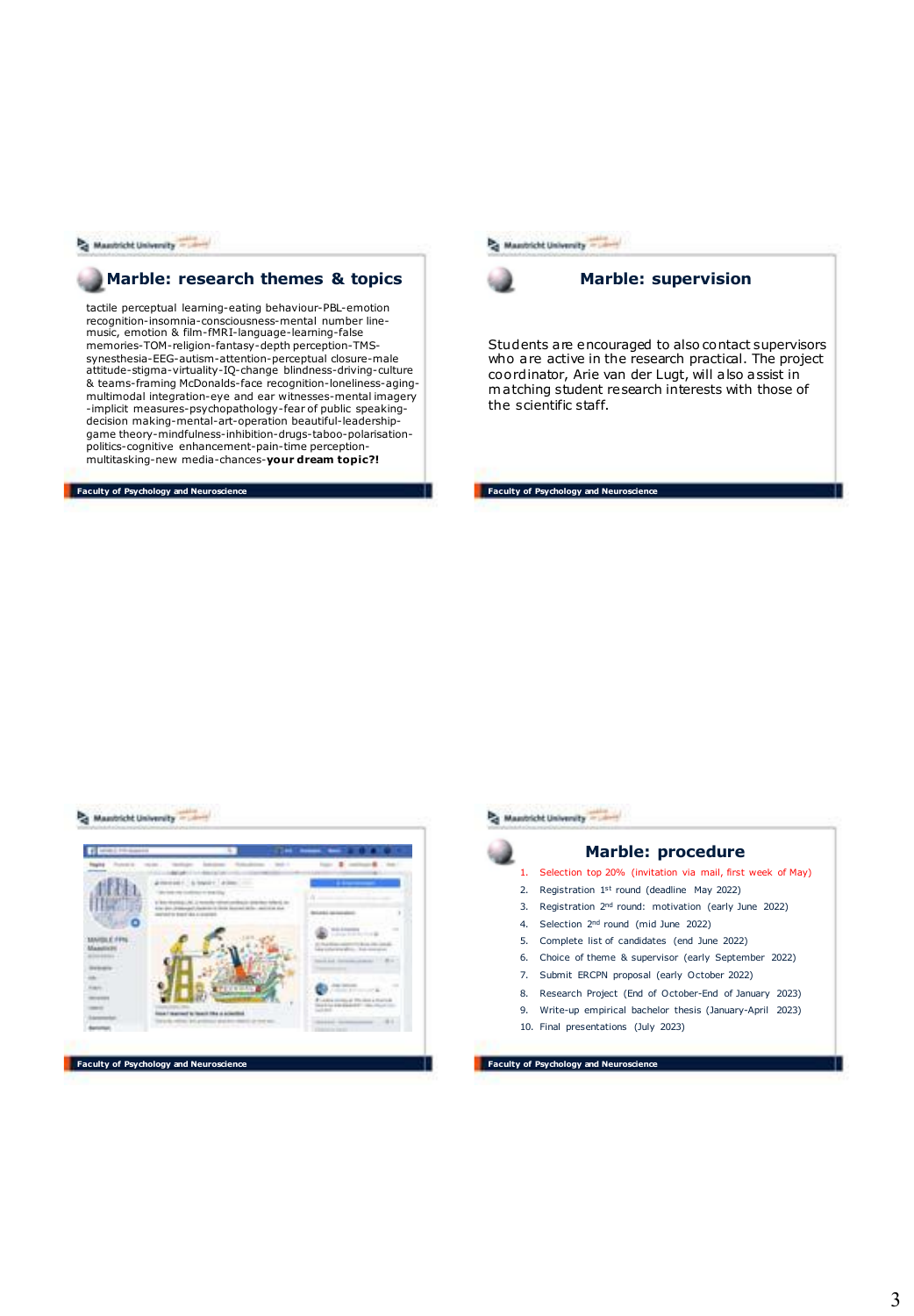Mantrick University - Lives

#### **Marble: research themes & topics**

tactile perceptual learning-eating behaviour-PBL-emotion recognition-insomnia-consciousness-mental number linemusic, emotion & film-fMRI-language-learning-false memories-TOM-religion-fantasy-depth perception-TMSsynesthesia-EEG-autism-attention-perceptual closure-male attitude-stigma-virtuality-IQ-change blindness-driving-culture & teams-framing McDonalds-face recognition-loneliness-agingmultimodal integration-eye and ear witnesses-mental imagery -implicit measures-psychopathology-fear of public speakingdecision making-mental-art-operation beautiful-leadershipgame theory-mindfulness-inhibition-drugs-taboo-polarisationpolitics-cognitive enhancement-pain-time perceptionmultitasking-new media-chances-**your dream topic?!**

**Faculty of Psychology and Neuroscien** 





Students are encouraged to also contact supervisors who are active in the research practical. The project coordinator, Arie van der Lugt, will also assist in m atching student research interests with those of the scientific staff.

**Faculty of Psychology and Neuro** 

#### A Manitche University - Lives